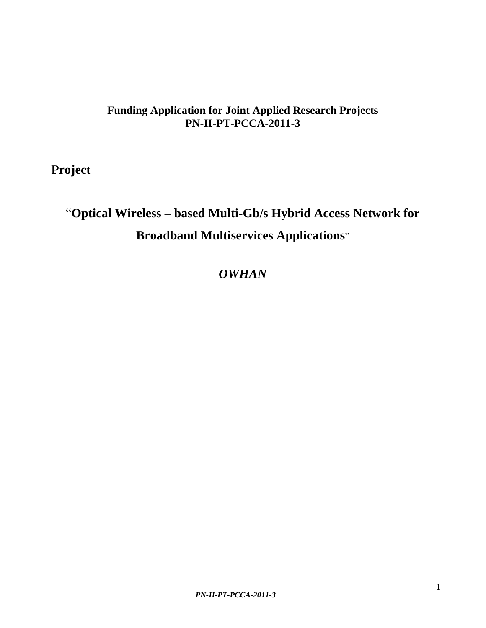# **Funding Application for Joint Applied Research Projects PN-II-PT-PCCA-2011-3**

 **Project** 

# "**Optical Wireless – based Multi-Gb/s Hybrid Access Network for Broadband Multiservices Applications**"

*OWHAN*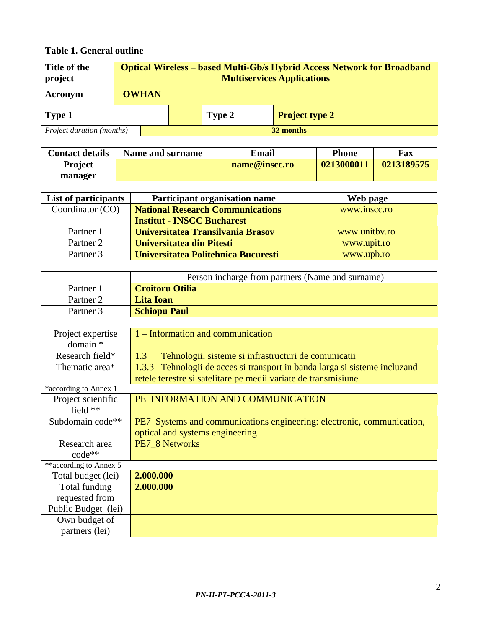# **Table 1. General outline**

| Title of the<br>project                |              | <b>Optical Wireless – based Multi-Gb/s Hybrid Access Network for Broadband</b><br><b>Multiservices Applications</b> |  |  |  |  |  |  |  |  |
|----------------------------------------|--------------|---------------------------------------------------------------------------------------------------------------------|--|--|--|--|--|--|--|--|
| Acronym                                | <b>OWHAN</b> |                                                                                                                     |  |  |  |  |  |  |  |  |
| Type 1                                 |              | <b>Project type 2</b><br>Type 2                                                                                     |  |  |  |  |  |  |  |  |
| Project duration (months)<br>32 months |              |                                                                                                                     |  |  |  |  |  |  |  |  |

| <b>Contact details</b> | Name and surname | Email         | <b>Phone</b> | Fax        |
|------------------------|------------------|---------------|--------------|------------|
| <b>Project</b>         |                  | name@inscc.ro | 0213000011   | 0213189575 |
| manager                |                  |               |              |            |

| List of participants | Participant organisation name           | Web page      |
|----------------------|-----------------------------------------|---------------|
| Coordinator (CO)     | <b>National Research Communications</b> | www.inscc.ro  |
|                      | <b>Institut - INSCC Bucharest</b>       |               |
| Partner 1            | Universitatea Transilvania Brasov       | www.unitby.ro |
| Partner 2            | Universitatea din Pitesti               | www.upit.ro   |
| Partner 3            | Universitatea Politehnica Bucuresti     | www.upb.ro    |

|           | Person incharge from partners (Name and surname) |
|-----------|--------------------------------------------------|
| Partner 1 | <b>Croitoru Otilia</b>                           |
| Partner 2 | <b>Lita Ioan</b>                                 |
| Partner 3 | <b>Schiopu Paul</b>                              |

| Project expertise<br>$domain *$ | 1 – Information and communication                                          |
|---------------------------------|----------------------------------------------------------------------------|
| Research field*                 | Tehnologii, sisteme si infrastructuri de comunicatii<br>1.3                |
| Thematic area*                  | 1.3.3 Tehnologii de acces si transport in banda larga si sisteme incluzand |
|                                 | retele terestre si satelitare pe medii variate de transmisiune             |
| *according to Annex 1           |                                                                            |
| Project scientific              | PE INFORMATION AND COMMUNICATION                                           |
| field $**$                      |                                                                            |
| Subdomain code**                | PE7 Systems and communications engineering: electronic, communication,     |
|                                 | optical and systems engineering                                            |
| Research area                   | PE7 8 Networks                                                             |
| code**                          |                                                                            |
| **according to Annex 5          |                                                                            |
| Total budget (lei)              | 2.000.000                                                                  |
| Total funding                   | 2.000.000                                                                  |
| requested from                  |                                                                            |
| Public Budget (lei)             |                                                                            |
| Own budget of                   |                                                                            |
| partners (lei)                  |                                                                            |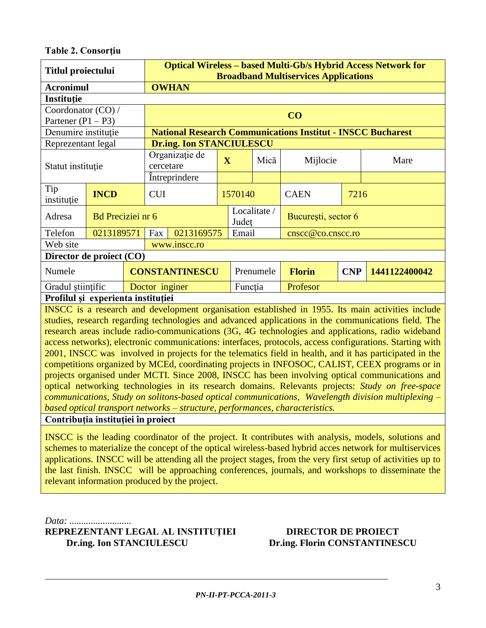#### **Table 2. Consorţiu**

| <b>Titlul proiectului</b>           |                                                                                                   |                       | <b>Optical Wireless - based Multi-Gb/s Hybrid Access Network for</b><br><b>Broadband Multiservices Applications</b> |                                 |                         |           |                     |                                                                    |               |      |  |
|-------------------------------------|---------------------------------------------------------------------------------------------------|-----------------------|---------------------------------------------------------------------------------------------------------------------|---------------------------------|-------------------------|-----------|---------------------|--------------------------------------------------------------------|---------------|------|--|
| <b>Acronimul</b>                    |                                                                                                   |                       | <b>OWHAN</b>                                                                                                        |                                 |                         |           |                     |                                                                    |               |      |  |
| Instituție                          |                                                                                                   |                       |                                                                                                                     |                                 |                         |           |                     |                                                                    |               |      |  |
| Coordonator (CO) /                  |                                                                                                   |                       |                                                                                                                     |                                 |                         |           |                     |                                                                    |               |      |  |
| Partener $(P1 - P3)$                |                                                                                                   |                       | CO                                                                                                                  |                                 |                         |           |                     |                                                                    |               |      |  |
| Denumire instituție                 |                                                                                                   |                       |                                                                                                                     |                                 |                         |           |                     | <b>National Research Communications Institut - INSCC Bucharest</b> |               |      |  |
| Reprezentant legal                  |                                                                                                   |                       |                                                                                                                     | <b>Dr.ing. Ion STANCIULESCU</b> |                         |           |                     |                                                                    |               |      |  |
| Statut instituție                   |                                                                                                   |                       | cercetare                                                                                                           | Organizație de                  | $\overline{\mathbf{X}}$ |           | Mică                | Mijlocie                                                           |               | Mare |  |
|                                     |                                                                                                   |                       |                                                                                                                     | Intreprindere                   |                         |           |                     |                                                                    |               |      |  |
| Tip<br>instituție                   | <b>INCD</b>                                                                                       |                       | <b>CUI</b>                                                                                                          |                                 | 1570140                 |           |                     | <b>CAEN</b><br>7216                                                |               |      |  |
| Adresa                              | <b>Bd</b> Preciziei nr 6                                                                          |                       |                                                                                                                     |                                 | Localitate /<br>Judet   |           | București, sector 6 |                                                                    |               |      |  |
| Telefon                             | 0213189571                                                                                        |                       | Fax                                                                                                                 | 0213169575                      |                         | Email     |                     | cnscc@co.cnscc.ro                                                  |               |      |  |
| Web site                            |                                                                                                   |                       |                                                                                                                     | www.inscc.ro                    |                         |           |                     |                                                                    |               |      |  |
| Director de proiect (CO)            |                                                                                                   |                       |                                                                                                                     |                                 |                         |           |                     |                                                                    |               |      |  |
| Numele                              |                                                                                                   | <b>CONSTANTINESCU</b> |                                                                                                                     |                                 |                         | Prenumele | <b>Florin</b>       | <b>CNP</b>                                                         | 1441122400042 |      |  |
| Gradul stiințific<br>Doctor inginer |                                                                                                   |                       |                                                                                                                     |                                 |                         | Funcția   |                     | Profesor                                                           |               |      |  |
| Profilul și experienta instituției  |                                                                                                   |                       |                                                                                                                     |                                 |                         |           |                     |                                                                    |               |      |  |
|                                     | INSCC is a research and development organisation established in 1955. Its main activities include |                       |                                                                                                                     |                                 |                         |           |                     |                                                                    |               |      |  |

studies, research regarding technologies and advanced applications in the communications field. The research areas include radio-communications (3G, 4G technologies and applications, radio wideband access networks), electronic communications: interfaces, protocols, access configurations. Starting with 2001, INSCC was involved in projects for the telematics field in health, and it has participated in the competitions organized by MCEd, coordinating projects in INFOSOC, CALIST, CEEX programs or in projects organised under MCTI. Since 2008, INSCC has been involving optical communications and optical networking technologies in its research domains. Relevants projects: *Study on free-space communications, Study on solitons-based optical communications, Wavelength division multiplexing – based optical transport networks – structure, performances, characteristics.*

**Contribuţia instituţiei în proiect**

INSCC is the leading coordinator of the project. It contributes with analysis, models, solutions and schemes to materialize the concept of the optical wireless-based hybrid acces network for multiservices applications. INSCC will be attending all the project stages, from the very first setup of activities up to the last finish. INSCC will be approaching conferences, journals, and workshops to disseminate the relevant information produced by the project.

*Data: ..........................* **REPREZENTANT LEGAL AL INSTITUŢIEI DIRECTOR DE PROIECT Dr.ing. Ion STANCIULESCU Dr.ing. Florin CONSTANTINESCU**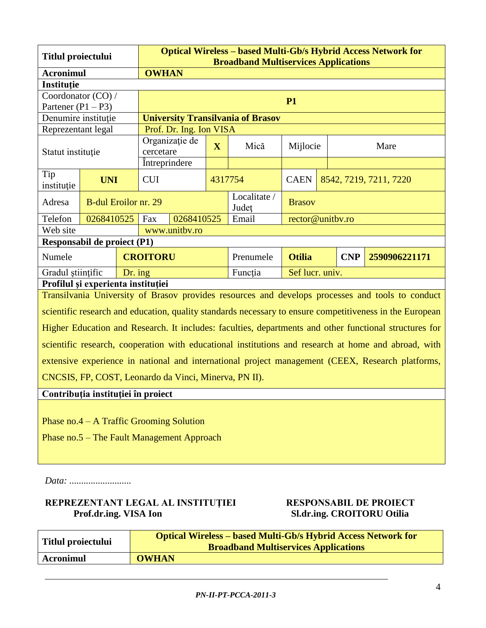| Titlul proiectului                                                                               |                                  |  |                 | <b>Optical Wireless - based Multi-Gb/s Hybrid Access Network for</b><br><b>Broadband Multiservices Applications</b> |         |                                          |                                              |  |  |      |
|--------------------------------------------------------------------------------------------------|----------------------------------|--|-----------------|---------------------------------------------------------------------------------------------------------------------|---------|------------------------------------------|----------------------------------------------|--|--|------|
|                                                                                                  | <b>OWHAN</b><br><b>Acronimul</b> |  |                 |                                                                                                                     |         |                                          |                                              |  |  |      |
| Instituție                                                                                       |                                  |  |                 |                                                                                                                     |         |                                          |                                              |  |  |      |
| Coordonator (CO) /                                                                               |                                  |  | <b>P1</b>       |                                                                                                                     |         |                                          |                                              |  |  |      |
| Partener $(P1 - P3)$                                                                             |                                  |  |                 |                                                                                                                     |         |                                          |                                              |  |  |      |
| Denumire instituție                                                                              |                                  |  |                 |                                                                                                                     |         | <b>University Transilvania of Brasov</b> |                                              |  |  |      |
| Reprezentant legal                                                                               |                                  |  |                 | Prof. Dr. Ing. Ion VISA                                                                                             |         |                                          |                                              |  |  |      |
|                                                                                                  |                                  |  |                 | Organizație de                                                                                                      | X       | Mică                                     |                                              |  |  | Mare |
| Statut instituție                                                                                |                                  |  | cercetare       |                                                                                                                     |         |                                          | Mijlocie                                     |  |  |      |
|                                                                                                  | Intreprindere                    |  |                 |                                                                                                                     |         |                                          |                                              |  |  |      |
| Tip<br>instituție                                                                                | <b>UNI</b>                       |  | <b>CUI</b>      |                                                                                                                     | 4317754 |                                          | <b>CAEN</b><br>8542, 7219, 7211, 7220        |  |  |      |
| Adresa                                                                                           | <b>B-dul Eroilor nr. 29</b>      |  |                 |                                                                                                                     |         | Localitate /<br>Județ                    | <b>Brasov</b>                                |  |  |      |
| Telefon                                                                                          | 0268410525                       |  | Fax             | 0268410525                                                                                                          |         | Email                                    | rector@unitbv.ro                             |  |  |      |
| Web site                                                                                         |                                  |  |                 | www.unitbv.ro                                                                                                       |         |                                          |                                              |  |  |      |
| Responsabil de proiect (P1)                                                                      |                                  |  |                 |                                                                                                                     |         |                                          |                                              |  |  |      |
| Numele                                                                                           |                                  |  | <b>CROITORU</b> |                                                                                                                     |         | Prenumele                                | <b>Otilia</b><br><b>CNP</b><br>2590906221171 |  |  |      |
| Gradul științific<br>Dr. ing                                                                     |                                  |  |                 |                                                                                                                     |         | Funcția                                  | Sef lucr. univ.                              |  |  |      |
| Profilul și experienta instituției                                                               |                                  |  |                 |                                                                                                                     |         |                                          |                                              |  |  |      |
| Transilvania University of Brasov provides resources and develops processes and tools to conduct |                                  |  |                 |                                                                                                                     |         |                                          |                                              |  |  |      |

scientific research and education, quality standards necessary to ensure competitiveness in the European Higher Education and Research. It includes: faculties, departments and other functional structures for scientific research, cooperation with educational institutions and research at home and abroad, with extensive experience in national and international project management (CEEX, Research platforms, CNCSIS, FP, COST, Leonardo da Vinci, Minerva, PN II).

#### **Contribuţia instituţiei în proiect**

Phase no.4 – A Traffic Grooming Solution

Phase no.5 – The Fault Management Approach

*Data: ..........................*

#### **REPREZENTANT LEGAL AL INSTITUŢIEI RESPONSABIL DE PROIECT Prof.dr.ing. VISA Ion** SL.dr.ing. CROITORU Otilia

| Titlul proiectului | <b>Optical Wireless – based Multi-Gb/s Hybrid Access Network for</b><br><b>Broadband Multiservices Applications</b> |
|--------------------|---------------------------------------------------------------------------------------------------------------------|
| <b>Acronimul</b>   | <b>OWHAN</b>                                                                                                        |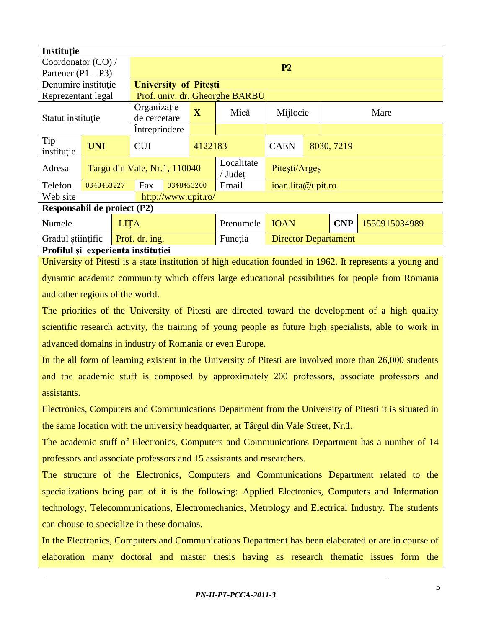| Instituție                         |             |  |                              |                                    |                         |                                |                             |                   |  |      |  |  |
|------------------------------------|-------------|--|------------------------------|------------------------------------|-------------------------|--------------------------------|-----------------------------|-------------------|--|------|--|--|
| Coordonator (CO) /                 |             |  |                              |                                    |                         |                                |                             |                   |  |      |  |  |
| Partener $(P1 - P3)$               |             |  |                              | P <sub>2</sub>                     |                         |                                |                             |                   |  |      |  |  |
| Denumire institutie                |             |  | <b>University of Pitesti</b> |                                    |                         |                                |                             |                   |  |      |  |  |
| Reprezentant legal                 |             |  |                              |                                    |                         | Prof. univ. dr. Gheorghe BARBU |                             |                   |  |      |  |  |
| Statut instituție                  |             |  | Organizație<br>de cercetare  |                                    | $\overline{\mathbf{X}}$ | Mică                           | Mijlocie                    |                   |  | Mare |  |  |
|                                    |             |  |                              | <i><u><b>Intreprindere</b></u></i> |                         |                                |                             |                   |  |      |  |  |
| Tip<br>instituție                  | <b>UNI</b>  |  | 4122183<br><b>CUI</b>        |                                    |                         | <b>CAEN</b>                    | 8030, 7219                  |                   |  |      |  |  |
| Adresa                             |             |  | Targu din Vale, Nr.1, 110040 |                                    |                         | Localitate<br>/ Judet          |                             | Pitești/Argeș     |  |      |  |  |
| Telefon                            | 0348453227  |  | Fax                          | 0348453200                         |                         | Email                          |                             | ioan.lita@upit.ro |  |      |  |  |
| Web site                           |             |  |                              | http://www.upit.ro/                |                         |                                |                             |                   |  |      |  |  |
| <b>Responsabil de proiect (P2)</b> |             |  |                              |                                    |                         |                                |                             |                   |  |      |  |  |
| Numele                             | <b>LITA</b> |  |                              | Prenumele                          | <b>IOAN</b>             | <b>CNP</b><br>1550915034989    |                             |                   |  |      |  |  |
| Gradul stiințific                  |             |  | Prof. dr. ing.               |                                    |                         | Functia                        | <b>Director Departament</b> |                   |  |      |  |  |
| Profilul și experienta instituției |             |  |                              |                                    |                         |                                |                             |                   |  |      |  |  |

University of Pitesti is a state institution of high education founded in 1962. It represents a young and dynamic academic community which offers large educational possibilities for people from Romania and other regions of the world.

The priorities of the University of Pitesti are directed toward the development of a high quality scientific research activity, the training of young people as future high specialists, able to work in advanced domains in industry of Romania or even Europe.

In the all form of learning existent in the University of Pitesti are involved more than 26,000 students and the academic stuff is composed by approximately 200 professors, associate professors and assistants.

Electronics, Computers and Communications Department from the University of Pitesti it is situated in the same location with the university headquarter, at Târgul din Vale Street, Nr.1.

The academic stuff of Electronics, Computers and Communications Department has a number of 14 professors and associate professors and 15 assistants and researchers.

The structure of the Electronics, Computers and Communications Department related to the specializations being part of it is the following: Applied Electronics, Computers and Information technology, Telecommunications, Electromechanics, Metrology and Electrical Industry. The students can chouse to specialize in these domains.

In the Electronics, Computers and Communications Department has been elaborated or are in course of elaboration many doctoral and master thesis having as research thematic issues form the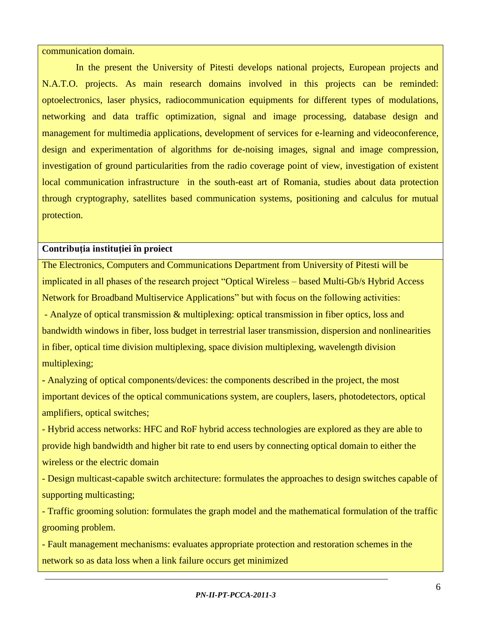#### communication domain.

In the present the University of Pitesti develops national projects, European projects and N.A.T.O. projects. As main research domains involved in this projects can be reminded: optoelectronics, laser physics, radiocommunication equipments for different types of modulations, networking and data traffic optimization, signal and image processing, database design and management for multimedia applications, development of services for e-learning and videoconference, design and experimentation of algorithms for de-noising images, signal and image compression, investigation of ground particularities from the radio coverage point of view, investigation of existent local communication infrastructure in the south-east art of Romania, studies about data protection through cryptography, satellites based communication systems, positioning and calculus for mutual protection.

#### **Contribuţia instituţiei în proiect**

The Electronics, Computers and Communications Department from University of Pitesti will be implicated in all phases of the research project "Optical Wireless – based Multi-Gb/s Hybrid Access Network for Broadband Multiservice Applications" but with focus on the following activities: - Analyze of optical transmission & multiplexing: optical transmission in fiber optics, loss and bandwidth windows in fiber, loss budget in terrestrial laser transmission, dispersion and nonlinearities in fiber, optical time division multiplexing, space division multiplexing, wavelength division multiplexing;

**-** Analyzing of optical components/devices: the components described in the project, the most important devices of the optical communications system, are couplers, lasers, photodetectors, optical amplifiers, optical switches;

- Hybrid access networks: HFC and RoF hybrid access technologies are explored as they are able to provide high bandwidth and higher bit rate to end users by connecting optical domain to either the wireless or the electric domain

- Design multicast-capable switch architecture: formulates the approaches to design switches capable of supporting multicasting;

- Traffic grooming solution: formulates the graph model and the mathematical formulation of the traffic grooming problem.

- Fault management mechanisms: evaluates appropriate protection and restoration schemes in the network so as data loss when a link failure occurs get minimized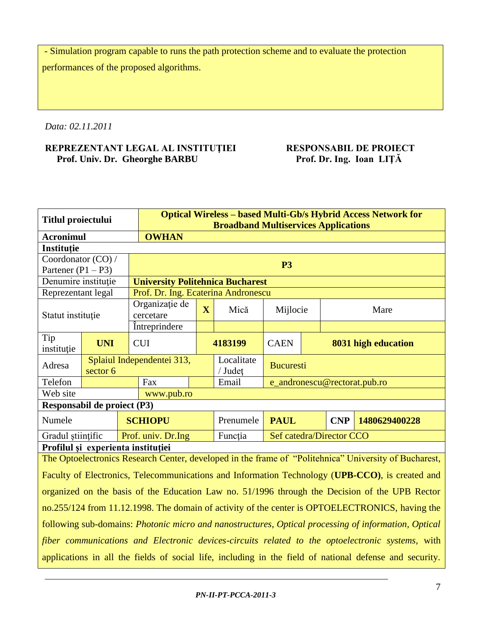- Simulation program capable to runs the path protection scheme and to evaluate the protection performances of the proposed algorithms.

*Data: 02.11.2011*

#### **REPREZENTANT LEGAL AL INSTITUȚIEI RESPONSABIL DE PROIECT<br>Prof. Univ. Dr. Gheorghe BARBU Prof. Dr. Ing. Ioan LIȚĂ** Prof. Univ. Dr. Gheorghe BARBU

| <b>Titlul proiectului</b>          |                                                                                                      |  | <b>Optical Wireless - based Multi-Gb/s Hybrid Access Network for</b><br><b>Broadband Multiservices Applications</b> |         |                       |                  |  |                              |                                                                                                         |  |  |
|------------------------------------|------------------------------------------------------------------------------------------------------|--|---------------------------------------------------------------------------------------------------------------------|---------|-----------------------|------------------|--|------------------------------|---------------------------------------------------------------------------------------------------------|--|--|
| <b>Acronimul</b>                   |                                                                                                      |  | <b>OWHAN</b>                                                                                                        |         |                       |                  |  |                              |                                                                                                         |  |  |
| Instituție                         |                                                                                                      |  |                                                                                                                     |         |                       |                  |  |                              |                                                                                                         |  |  |
| Coordonator (CO) /                 |                                                                                                      |  |                                                                                                                     |         |                       |                  |  |                              |                                                                                                         |  |  |
| Partener $(P1 - P3)$               |                                                                                                      |  | <b>P3</b>                                                                                                           |         |                       |                  |  |                              |                                                                                                         |  |  |
| Denumire instituție                |                                                                                                      |  | <b>University Politehnica Bucharest</b>                                                                             |         |                       |                  |  |                              |                                                                                                         |  |  |
| Reprezentant legal                 |                                                                                                      |  | Prof. Dr. Ing. Ecaterina Andronescu                                                                                 |         |                       |                  |  |                              |                                                                                                         |  |  |
| Statut instituție                  |                                                                                                      |  | Organizație de<br>cercetare                                                                                         | X       | Mică                  | Mijlocie         |  |                              | Mare                                                                                                    |  |  |
|                                    |                                                                                                      |  | <i><u><b>Intreprindere</b></u></i>                                                                                  |         |                       |                  |  |                              |                                                                                                         |  |  |
| Tip<br>instituție                  | <b>UNI</b>                                                                                           |  | <b>CUI</b>                                                                                                          | 4183199 |                       |                  |  |                              | 8031 high education                                                                                     |  |  |
| Adresa                             | sector 6                                                                                             |  | Splaiul Independentei 313,                                                                                          |         | Localitate<br>/ Județ | <b>Bucuresti</b> |  |                              |                                                                                                         |  |  |
| Telefon                            |                                                                                                      |  | Fax                                                                                                                 |         | Email                 |                  |  | e_andronescu@rectorat.pub.ro |                                                                                                         |  |  |
| Web site                           |                                                                                                      |  | www.pub.ro                                                                                                          |         |                       |                  |  |                              |                                                                                                         |  |  |
| Responsabil de proiect (P3)        |                                                                                                      |  |                                                                                                                     |         |                       |                  |  |                              |                                                                                                         |  |  |
| Numele                             |                                                                                                      |  | <b>SCHIOPU</b>                                                                                                      |         | Prenumele             | <b>PAUL</b>      |  | <b>CNP</b>                   | 1480629400228                                                                                           |  |  |
| Gradul stiințific                  |                                                                                                      |  | Prof. univ. Dr.Ing                                                                                                  |         | Funcția               |                  |  | Sef catedra/Director CCO     |                                                                                                         |  |  |
| Profilul și experienta instituției |                                                                                                      |  |                                                                                                                     |         |                       |                  |  |                              |                                                                                                         |  |  |
|                                    |                                                                                                      |  |                                                                                                                     |         |                       |                  |  |                              | The Optoelectronics Research Center, developed in the frame of "Politehnica" University of Bucharest,   |  |  |
|                                    |                                                                                                      |  |                                                                                                                     |         |                       |                  |  |                              | Faculty of Electronics, Telecommunications and Information Technology (UPB-CCO), is created and         |  |  |
|                                    |                                                                                                      |  |                                                                                                                     |         |                       |                  |  |                              | organized on the basis of the Education Law no. 51/1996 through the Decision of the UPB Rector          |  |  |
|                                    | no.255/124 from 11.12.1998. The domain of activity of the center is OPTOELECTRONICS, having the      |  |                                                                                                                     |         |                       |                  |  |                              |                                                                                                         |  |  |
|                                    | following sub-domains: Photonic micro and nanostructures, Optical processing of information, Optical |  |                                                                                                                     |         |                       |                  |  |                              |                                                                                                         |  |  |
|                                    |                                                                                                      |  |                                                                                                                     |         |                       |                  |  |                              | fiber communications and Electronic devices-circuits related to the optoelectronic systems, with        |  |  |
|                                    |                                                                                                      |  |                                                                                                                     |         |                       |                  |  |                              | applications in all the fields of social life, including in the field of national defense and security. |  |  |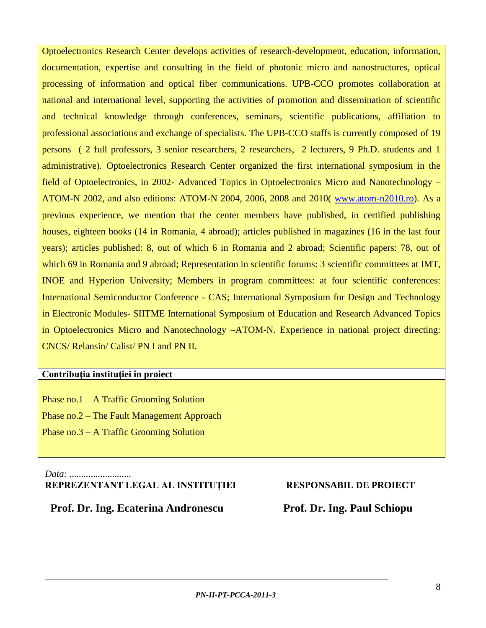Optoelectronics Research Center develops activities of research-development, education, information, documentation, expertise and consulting in the field of photonic micro and nanostructures, optical processing of information and optical fiber communications. UPB-CCO promotes collaboration at national and international level, supporting the activities of promotion and dissemination of scientific and technical knowledge through conferences, seminars, scientific publications, affiliation to professional associations and exchange of specialists. The UPB-CCO staffs is currently composed of 19 persons ( 2 full professors, 3 senior researchers, 2 researchers, 2 lecturers, 9 Ph.D. students and 1 administrative). Optoelectronics Research Center organized the first international symposium in the field of Optoelectronics, in 2002- Advanced Topics in Optoelectronics Micro and Nanotechnology – ATOM-N 2002, and also editions: ATOM-N 2004, 2006, 2008 and 2010( [www.atom-n2010.ro\)](http://www.atom-n2008.ro/). As a previous experience, we mention that the center members have published, in certified publishing houses, eighteen books (14 in Romania, 4 abroad); articles published in magazines (16 in the last four years); articles published: 8, out of which 6 in Romania and 2 abroad; Scientific papers: 78, out of which 69 in Romania and 9 abroad; Representation in scientific forums: 3 scientific committees at IMT, INOE and Hyperion University; Members in program committees: at four scientific conferences: International Semiconductor Conference - CAS; International Symposium for Design and Technology in Electronic Modules- SIITME International Symposium of Education and Research Advanced Topics in Optoelectronics Micro and Nanotechnology –ATOM-N. Experience in national project directing: CNCS/ Relansin/ Calist/ PN I and PN II.

#### **Contribuţia instituţiei în proiect**

Phase no.1 – A Traffic Grooming Solution Phase no.2 – The Fault Management Approach Phase no.3 – A Traffic Grooming Solution

*Data: ..........................* **REPREZENTANT LEGAL AL INSTITUŢIEI RESPONSABIL DE PROIECT**

 **Prof. Dr. Ing. Ecaterina Andronescu Prof. Dr. Ing. Paul Schiopu**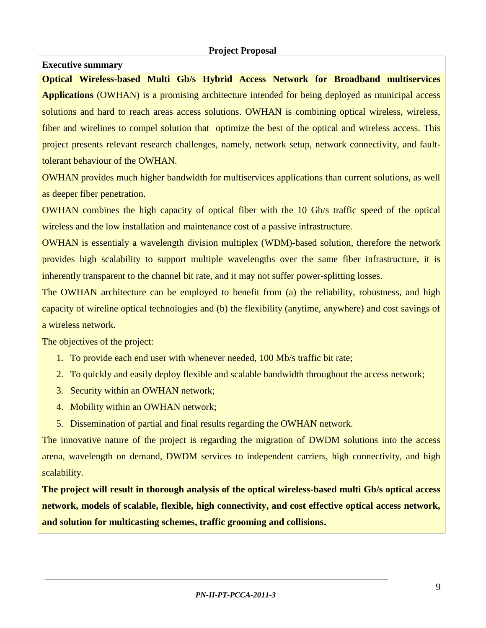#### **Executive summary**

**Optical Wireless-based Multi Gb/s Hybrid Access Network for Broadband multiservices Applications** (OWHAN) is a promising architecture intended for being deployed as municipal access solutions and hard to reach areas access solutions. OWHAN is combining optical wireless, wireless, fiber and wirelines to compel solution that optimize the best of the optical and wireless access. This project presents relevant research challenges, namely, network setup, network connectivity, and faulttolerant behaviour of the OWHAN.

OWHAN provides much higher bandwidth for multiservices applications than current solutions, as well as deeper fiber penetration.

OWHAN combines the high capacity of optical fiber with the 10 Gb/s traffic speed of the optical wireless and the low installation and maintenance cost of a passive infrastructure.

OWHAN is essentialy a wavelength division multiplex (WDM)-based solution, therefore the network provides high scalability to support multiple wavelengths over the same fiber infrastructure, it is inherently transparent to the channel bit rate, and it may not suffer power-splitting losses.

The OWHAN architecture can be employed to benefit from (a) the reliability, robustness, and high capacity of wireline optical technologies and (b) the flexibility (anytime, anywhere) and cost savings of a wireless network.

The objectives of the project:

- 1. To provide each end user with whenever needed, 100 Mb/s traffic bit rate;
- 2. To quickly and easily deploy flexible and scalable bandwidth throughout the access network;
- 3. Security within an OWHAN network;
- 4. Mobility within an OWHAN network;
- 5. Dissemination of partial and final results regarding the OWHAN network.

The innovative nature of the project is regarding the migration of DWDM solutions into the access arena, wavelength on demand, DWDM services to independent carriers, high connectivity, and high scalability.

**The project will result in thorough analysis of the optical wireless-based multi Gb/s optical access network, models of scalable, flexible, high connectivity, and cost effective optical access network, and solution for multicasting schemes, traffic grooming and collisions.**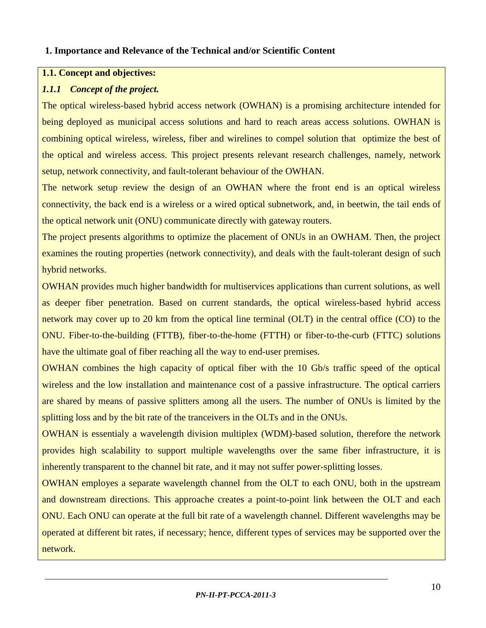#### **1. Importance and Relevance of the Technical and/or Scientific Content**

#### **1.1. Concept and objectives:**

#### *1.1.1 Concept of the project.*

The optical wireless-based hybrid access network (OWHAN) is a promising architecture intended for being deployed as municipal access solutions and hard to reach areas access solutions. OWHAN is combining optical wireless, wireless, fiber and wirelines to compel solution that optimize the best of the optical and wireless access. This project presents relevant research challenges, namely, network setup, network connectivity, and fault-tolerant behaviour of the OWHAN.

The network setup review the design of an OWHAN where the front end is an optical wireless connectivity, the back end is a wireless or a wired optical subnetwork, and, in beetwin, the tail ends of the optical network unit (ONU) communicate directly with gateway routers.

The project presents algorithms to optimize the placement of ONUs in an OWHAM. Then, the project examines the routing properties (network connectivity), and deals with the fault-tolerant design of such hybrid networks.

OWHAN provides much higher bandwidth for multiservices applications than current solutions, as well as deeper fiber penetration. Based on current standards, the optical wireless-based hybrid access network may cover up to 20 km from the optical line terminal (OLT) in the central office (CO) to the ONU. Fiber-to-the-building (FTTB), fiber-to-the-home (FTTH) or fiber-to-the-curb (FTTC) solutions have the ultimate goal of fiber reaching all the way to end-user premises.

OWHAN combines the high capacity of optical fiber with the 10 Gb/s traffic speed of the optical wireless and the low installation and maintenance cost of a passive infrastructure. The optical carriers are shared by means of passive splitters among all the users. The number of ONUs is limited by the splitting loss and by the bit rate of the tranceivers in the OLTs and in the ONUs.

OWHAN is essentialy a wavelength division multiplex (WDM)-based solution, therefore the network provides high scalability to support multiple wavelengths over the same fiber infrastructure, it is inherently transparent to the channel bit rate, and it may not suffer power-splitting losses.

OWHAN employes a separate wavelength channel from the OLT to each ONU, both in the upstream and downstream directions. This approache creates a point-to-point link between the OLT and each ONU. Each ONU can operate at the full bit rate of a wavelength channel. Different wavelengths may be operated at different bit rates, if necessary; hence, different types of services may be supported over the network.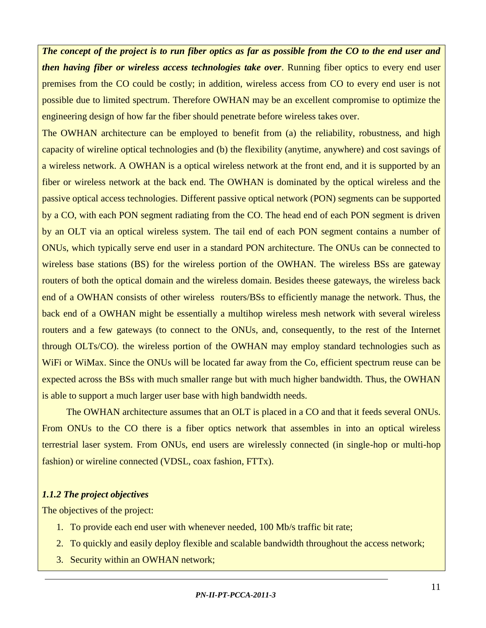*The concept of the project is to run fiber optics as far as possible from the CO to the end user and then having fiber or wireless access technologies take over*. Running fiber optics to every end user premises from the CO could be costly; in addition, wireless access from CO to every end user is not possible due to limited spectrum. Therefore OWHAN may be an excellent compromise to optimize the engineering design of how far the fiber should penetrate before wireless takes over.

The OWHAN architecture can be employed to benefit from (a) the reliability, robustness, and high capacity of wireline optical technologies and (b) the flexibility (anytime, anywhere) and cost savings of a wireless network. A OWHAN is a optical wireless network at the front end, and it is supported by an fiber or wireless network at the back end. The OWHAN is dominated by the optical wireless and the passive optical access technologies. Different passive optical network (PON) segments can be supported by a CO, with each PON segment radiating from the CO. The head end of each PON segment is driven by an OLT via an optical wireless system. The tail end of each PON segment contains a number of ONUs, which typically serve end user in a standard PON architecture. The ONUs can be connected to wireless base stations (BS) for the wireless portion of the OWHAN. The wireless BSs are gateway routers of both the optical domain and the wireless domain. Besides theese gateways, the wireless back end of a OWHAN consists of other wireless routers/BSs to efficiently manage the network. Thus, the back end of a OWHAN might be essentially a multihop wireless mesh network with several wireless routers and a few gateways (to connect to the ONUs, and, consequently, to the rest of the Internet through OLTs/CO). the wireless portion of the OWHAN may employ standard technologies such as WiFi or WiMax. Since the ONUs will be located far away from the Co, efficient spectrum reuse can be expected across the BSs with much smaller range but with much higher bandwidth. Thus, the OWHAN is able to support a much larger user base with high bandwidth needs.

The OWHAN architecture assumes that an OLT is placed in a CO and that it feeds several ONUs. From ONUs to the CO there is a fiber optics network that assembles in into an optical wireless terrestrial laser system. From ONUs, end users are wirelessly connected (in single-hop or multi-hop fashion) or wireline connected (VDSL, coax fashion, FTTx).

#### *1.1.2 The project objectives*

The objectives of the project:

- 1. To provide each end user with whenever needed, 100 Mb/s traffic bit rate;
- 2. To quickly and easily deploy flexible and scalable bandwidth throughout the access network;
- 3. Security within an OWHAN network;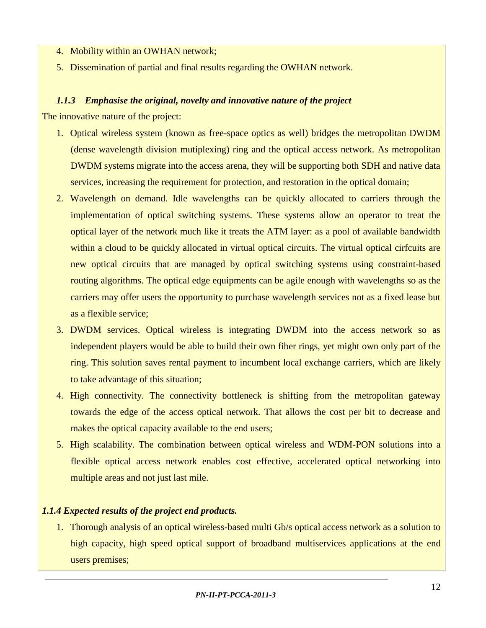- 4. Mobility within an OWHAN network;
- 5. Dissemination of partial and final results regarding the OWHAN network.

### *1.1.3 Emphasise the original, novelty and innovative nature of the project*

The innovative nature of the project:

- 1. Optical wireless system (known as free-space optics as well) bridges the metropolitan DWDM (dense wavelength division mutiplexing) ring and the optical access network. As metropolitan DWDM systems migrate into the access arena, they will be supporting both SDH and native data services, increasing the requirement for protection, and restoration in the optical domain;
- 2. Wavelength on demand. Idle wavelengths can be quickly allocated to carriers through the implementation of optical switching systems. These systems allow an operator to treat the optical layer of the network much like it treats the ATM layer: as a pool of available bandwidth within a cloud to be quickly allocated in virtual optical circuits. The virtual optical cirfcuits are new optical circuits that are managed by optical switching systems using constraint-based routing algorithms. The optical edge equipments can be agile enough with wavelengths so as the carriers may offer users the opportunity to purchase wavelength services not as a fixed lease but as a flexible service;
- 3. DWDM services. Optical wireless is integrating DWDM into the access network so as independent players would be able to build their own fiber rings, yet might own only part of the ring. This solution saves rental payment to incumbent local exchange carriers, which are likely to take advantage of this situation;
- 4. High connectivity. The connectivity bottleneck is shifting from the metropolitan gateway towards the edge of the access optical network. That allows the cost per bit to decrease and makes the optical capacity available to the end users;
- 5. High scalability. The combination between optical wireless and WDM-PON solutions into a flexible optical access network enables cost effective, accelerated optical networking into multiple areas and not just last mile.

# *1.1.4 Expected results of the project end products.*

1. Thorough analysis of an optical wireless-based multi Gb/s optical access network as a solution to high capacity, high speed optical support of broadband multiservices applications at the end users premises;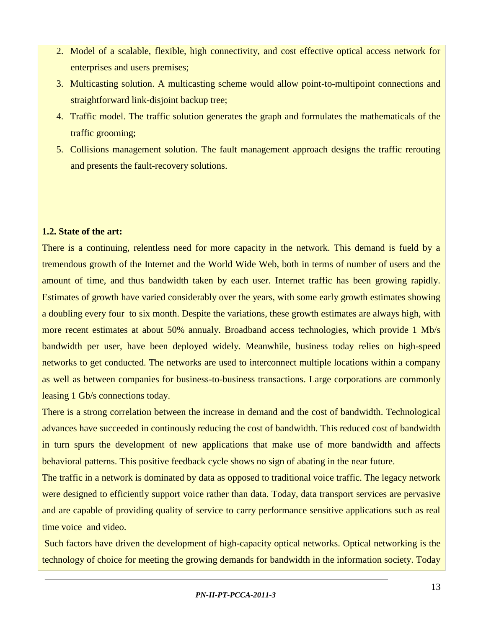- 2. Model of a scalable, flexible, high connectivity, and cost effective optical access network for enterprises and users premises;
- 3. Multicasting solution. A multicasting scheme would allow point-to-multipoint connections and straightforward link-disjoint backup tree;
- 4. Traffic model. The traffic solution generates the graph and formulates the mathematicals of the traffic grooming;
- 5. Collisions management solution. The fault management approach designs the traffic rerouting and presents the fault-recovery solutions.

#### **1.2. State of the art:**

There is a continuing, relentless need for more capacity in the network. This demand is fueld by a tremendous growth of the Internet and the World Wide Web, both in terms of number of users and the amount of time, and thus bandwidth taken by each user. Internet traffic has been growing rapidly. Estimates of growth have varied considerably over the years, with some early growth estimates showing a doubling every four to six month. Despite the variations, these growth estimates are always high, with more recent estimates at about 50% annualy. Broadband access technologies, which provide 1 Mb/s bandwidth per user, have been deployed widely. Meanwhile, business today relies on high-speed networks to get conducted. The networks are used to interconnect multiple locations within a company as well as between companies for business-to-business transactions. Large corporations are commonly leasing 1 Gb/s connections today.

There is a strong correlation between the increase in demand and the cost of bandwidth. Technological advances have succeeded in continously reducing the cost of bandwidth. This reduced cost of bandwidth in turn spurs the development of new applications that make use of more bandwidth and affects behavioral patterns. This positive feedback cycle shows no sign of abating in the near future.

The traffic in a network is dominated by data as opposed to traditional voice traffic. The legacy network were designed to efficiently support voice rather than data. Today, data transport services are pervasive and are capable of providing quality of service to carry performance sensitive applications such as real time voice and video.

Such factors have driven the development of high-capacity optical networks. Optical networking is the technology of choice for meeting the growing demands for bandwidth in the information society. Today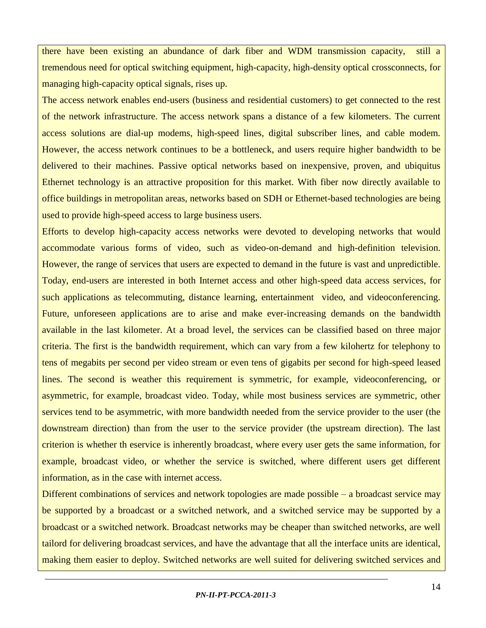there have been existing an abundance of dark fiber and WDM transmission capacity, still a tremendous need for optical switching equipment, high-capacity, high-density optical crossconnects, for managing high-capacity optical signals, rises up.

The access network enables end-users (business and residential customers) to get connected to the rest of the network infrastructure. The access network spans a distance of a few kilometers. The current access solutions are dial-up modems, high-speed lines, digital subscriber lines, and cable modem. However, the access network continues to be a bottleneck, and users require higher bandwidth to be delivered to their machines. Passive optical networks based on inexpensive, proven, and ubiquitus Ethernet technology is an attractive proposition for this market. With fiber now directly available to office buildings in metropolitan areas, networks based on SDH or Ethernet-based technologies are being used to provide high-speed access to large business users.

Efforts to develop high-capacity access networks were devoted to developing networks that would accommodate various forms of video, such as video-on-demand and high-definition television. However, the range of services that users are expected to demand in the future is vast and unpredictible. Today, end-users are interested in both Internet access and other high-speed data access services, for such applications as telecommuting, distance learning, entertainment video, and videoconferencing. Future, unforeseen applications are to arise and make ever-increasing demands on the bandwidth available in the last kilometer. At a broad level, the services can be classified based on three major criteria. The first is the bandwidth requirement, which can vary from a few kilohertz for telephony to tens of megabits per second per video stream or even tens of gigabits per second for high-speed leased lines. The second is weather this requirement is symmetric, for example, videoconferencing, or asymmetric, for example, broadcast video. Today, while most business services are symmetric, other services tend to be asymmetric, with more bandwidth needed from the service provider to the user (the downstream direction) than from the user to the service provider (the upstream direction). The last criterion is whether th eservice is inherently broadcast, where every user gets the same information, for example, broadcast video, or whether the service is switched, where different users get different information, as in the case with internet access.

Different combinations of services and network topologies are made possible – a broadcast service may be supported by a broadcast or a switched network, and a switched service may be supported by a broadcast or a switched network. Broadcast networks may be cheaper than switched networks, are well tailord for delivering broadcast services, and have the advantage that all the interface units are identical, making them easier to deploy. Switched networks are well suited for delivering switched services and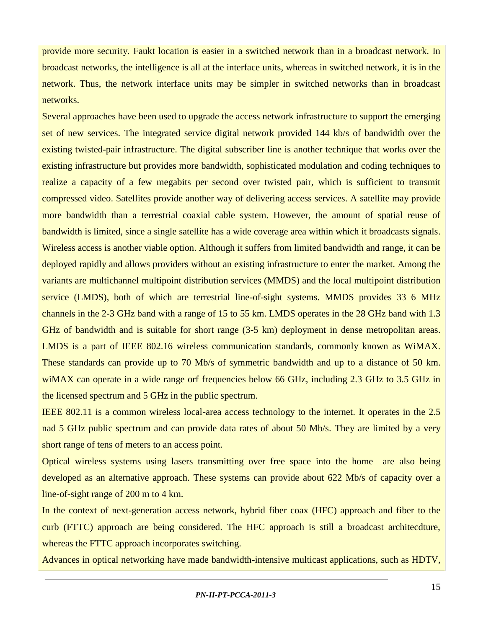provide more security. Faukt location is easier in a switched network than in a broadcast network. In broadcast networks, the intelligence is all at the interface units, whereas in switched network, it is in the network. Thus, the network interface units may be simpler in switched networks than in broadcast networks.

Several approaches have been used to upgrade the access network infrastructure to support the emerging set of new services. The integrated service digital network provided 144 kb/s of bandwidth over the existing twisted-pair infrastructure. The digital subscriber line is another technique that works over the existing infrastructure but provides more bandwidth, sophisticated modulation and coding techniques to realize a capacity of a few megabits per second over twisted pair, which is sufficient to transmit compressed video. Satellites provide another way of delivering access services. A satellite may provide more bandwidth than a terrestrial coaxial cable system. However, the amount of spatial reuse of bandwidth is limited, since a single satellite has a wide coverage area within which it broadcasts signals. Wireless access is another viable option. Although it suffers from limited bandwidth and range, it can be deployed rapidly and allows providers without an existing infrastructure to enter the market. Among the variants are multichannel multipoint distribution services (MMDS) and the local multipoint distribution service (LMDS), both of which are terrestrial line-of-sight systems. MMDS provides 33 6 MHz channels in the 2-3 GHz band with a range of 15 to 55 km. LMDS operates in the 28 GHz band with 1.3 GHz of bandwidth and is suitable for short range (3-5 km) deployment in dense metropolitan areas. LMDS is a part of IEEE 802.16 wireless communication standards, commonly known as WiMAX. These standards can provide up to 70 Mb/s of symmetric bandwidth and up to a distance of 50 km. wiMAX can operate in a wide range orf frequencies below 66 GHz, including 2.3 GHz to 3.5 GHz in the licensed spectrum and 5 GHz in the public spectrum.

IEEE 802.11 is a common wireless local-area access technology to the internet. It operates in the 2.5 nad 5 GHz public spectrum and can provide data rates of about 50 Mb/s. They are limited by a very short range of tens of meters to an access point.

Optical wireless systems using lasers transmitting over free space into the home are also being developed as an alternative approach. These systems can provide about 622 Mb/s of capacity over a line-of-sight range of 200 m to 4 km.

In the context of next-generation access network, hybrid fiber coax (HFC) approach and fiber to the curb (FTTC) approach are being considered. The HFC approach is still a broadcast architecdture, whereas the FTTC approach incorporates switching.

Advances in optical networking have made bandwidth-intensive multicast applications, such as HDTV,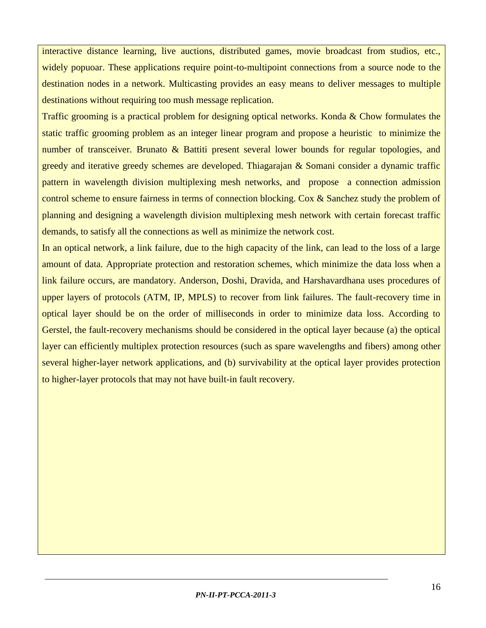interactive distance learning, live auctions, distributed games, movie broadcast from studios, etc., widely popuoar. These applications require point-to-multipoint connections from a source node to the destination nodes in a network. Multicasting provides an easy means to deliver messages to multiple destinations without requiring too mush message replication.

Traffic grooming is a practical problem for designing optical networks. Konda & Chow formulates the static traffic grooming problem as an integer linear program and propose a heuristic to minimize the number of transceiver. Brunato & Battiti present several lower bounds for regular topologies, and greedy and iterative greedy schemes are developed. Thiagarajan & Somani consider a dynamic traffic pattern in wavelength division multiplexing mesh networks, and propose a connection admission control scheme to ensure fairness in terms of connection blocking. Cox & Sanchez study the problem of planning and designing a wavelength division multiplexing mesh network with certain forecast traffic demands, to satisfy all the connections as well as minimize the network cost.

In an optical network, a link failure, due to the high capacity of the link, can lead to the loss of a large amount of data. Appropriate protection and restoration schemes, which minimize the data loss when a link failure occurs, are mandatory. Anderson, Doshi, Dravida, and Harshavardhana uses procedures of upper layers of protocols (ATM, IP, MPLS) to recover from link failures. The fault-recovery time in optical layer should be on the order of milliseconds in order to minimize data loss. According to Gerstel, the fault-recovery mechanisms should be considered in the optical layer because (a) the optical layer can efficiently multiplex protection resources (such as spare wavelengths and fibers) among other several higher-layer network applications, and (b) survivability at the optical layer provides protection to higher-layer protocols that may not have built-in fault recovery.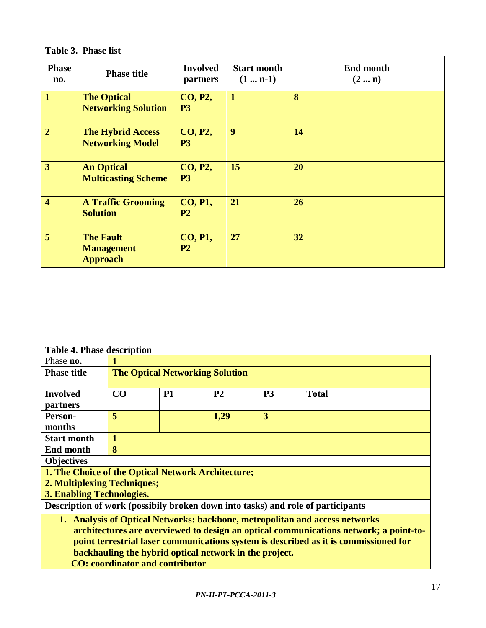**Table 3. Phase list**

| <b>Phase</b><br>no.     | <b>Phase title</b>                                       | <b>Involved</b><br><b>partners</b> | <b>Start month</b><br>$(1 \dots n-1)$ | <b>End month</b><br>$(2 \dots n)$ |
|-------------------------|----------------------------------------------------------|------------------------------------|---------------------------------------|-----------------------------------|
| $\mathbf{1}$            | <b>The Optical</b><br><b>Networking Solution</b>         | <b>CO, P2,</b><br>P <sub>3</sub>   | $\mathbf{1}$                          | 8                                 |
| $\overline{2}$          | <b>The Hybrid Access</b><br><b>Networking Model</b>      | <b>CO, P2,</b><br><b>P3</b>        | $\boldsymbol{9}$                      | 14                                |
| $\overline{3}$          | <b>An Optical</b><br><b>Multicasting Scheme</b>          | <b>CO, P2,</b><br>P <sub>3</sub>   | 15                                    | 20                                |
| $\overline{\mathbf{4}}$ | <b>A Traffic Grooming</b><br><b>Solution</b>             | <b>CO, P1,</b><br>P <sub>2</sub>   | 21                                    | 26                                |
| 5                       | <b>The Fault</b><br><b>Management</b><br><b>Approach</b> | <b>CO, P1,</b><br>P <sub>2</sub>   | 27                                    | 32                                |

**Table 4. Phase description** 

| Phase no.                                                                            |                                                        |           |                |                |                                                                                       |  |  |  |  |  |
|--------------------------------------------------------------------------------------|--------------------------------------------------------|-----------|----------------|----------------|---------------------------------------------------------------------------------------|--|--|--|--|--|
| <b>Phase title</b>                                                                   | <b>The Optical Networking Solution</b>                 |           |                |                |                                                                                       |  |  |  |  |  |
|                                                                                      |                                                        |           |                |                |                                                                                       |  |  |  |  |  |
| <b>Involved</b>                                                                      | CO                                                     | <b>P1</b> | P <sub>2</sub> | P <sub>3</sub> | <b>Total</b>                                                                          |  |  |  |  |  |
| partners                                                                             |                                                        |           |                |                |                                                                                       |  |  |  |  |  |
| Person-                                                                              | 5                                                      |           | 1,29           | $\overline{3}$ |                                                                                       |  |  |  |  |  |
| months                                                                               |                                                        |           |                |                |                                                                                       |  |  |  |  |  |
| <b>Start month</b>                                                                   |                                                        |           |                |                |                                                                                       |  |  |  |  |  |
| <b>End month</b>                                                                     | 8                                                      |           |                |                |                                                                                       |  |  |  |  |  |
| <b>Objectives</b>                                                                    |                                                        |           |                |                |                                                                                       |  |  |  |  |  |
| 1. The Choice of the Optical Network Architecture;                                   |                                                        |           |                |                |                                                                                       |  |  |  |  |  |
| 2. Multiplexing Techniques;                                                          |                                                        |           |                |                |                                                                                       |  |  |  |  |  |
| 3. Enabling Technologies.                                                            |                                                        |           |                |                |                                                                                       |  |  |  |  |  |
|                                                                                      |                                                        |           |                |                | Description of work (possibily broken down into tasks) and role of participants       |  |  |  |  |  |
|                                                                                      |                                                        |           |                |                | 1. Analysis of Optical Networks: backbone, metropolitan and access networks           |  |  |  |  |  |
|                                                                                      |                                                        |           |                |                | architectures are overviewed to design an optical communications network; a point-to- |  |  |  |  |  |
| point terrestrial laser communications system is described as it is commissioned for |                                                        |           |                |                |                                                                                       |  |  |  |  |  |
|                                                                                      | backhauling the hybrid optical network in the project. |           |                |                |                                                                                       |  |  |  |  |  |
| <b>CO</b> : coordinator and contributor                                              |                                                        |           |                |                |                                                                                       |  |  |  |  |  |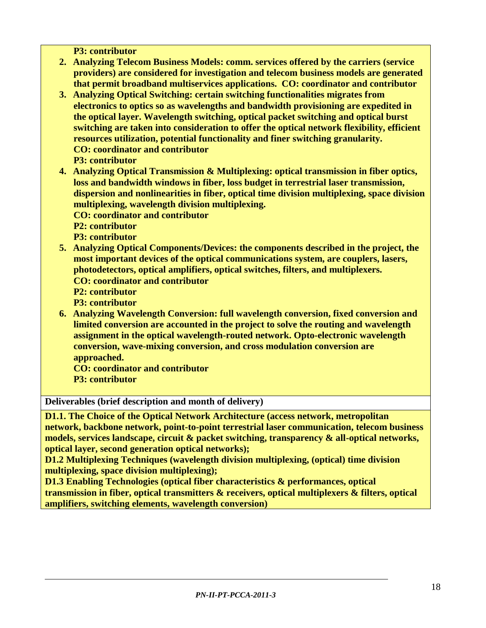**P3: contributor**

- **2. Analyzing Telecom Business Models: comm. services offered by the carriers (service providers) are considered for investigation and telecom business models are generated that permit broadband multiservices applications. CO: coordinator and contributor**
- **3. Analyzing Optical Switching: certain switching functionalities migrates from electronics to optics so as wavelengths and bandwidth provisioning are expedited in the optical layer. Wavelength switching, optical packet switching and optical burst switching are taken into consideration to offer the optical network flexibility, efficient resources utilization, potential functionality and finer switching granularity. CO: coordinator and contributor** 
	- **P3: contributor**
- **4. Analyzing Optical Transmission & Multiplexing: optical transmission in fiber optics, loss and bandwidth windows in fiber, loss budget in terrestrial laser transmission, dispersion and nonlinearities in fiber, optical time division multiplexing, space division multiplexing, wavelength division multiplexing.** 
	- **CO: coordinator and contributor**
	- **P2: contributor**
	- **P3: contributor**
- **5. Analyzing Optical Components/Devices: the components described in the project, the most important devices of the optical communications system, are couplers, lasers, photodetectors, optical amplifiers, optical switches, filters, and multiplexers. CO: coordinator and contributor** 
	- **P2: contributor**
	- **P3: contributor**
- **6. Analyzing Wavelength Conversion: full wavelength conversion, fixed conversion and limited conversion are accounted in the project to solve the routing and wavelength assignment in the optical wavelength-routed network. Opto-electronic wavelength conversion, wave-mixing conversion, and cross modulation conversion are approached.** 
	- **CO: coordinator and contributor**
	- **P3: contributor**

**Deliverables (brief description and month of delivery)**

**D1.1. The Choice of the Optical Network Architecture (access network, metropolitan network, backbone network, point-to-point terrestrial laser communication, telecom business models, services landscape, circuit & packet switching, transparency & all-optical networks, optical layer, second generation optical networks);**

**D1.2 Multiplexing Techniques (wavelength division multiplexing, (optical) time division multiplexing, space division multiplexing);**

**D1.3 Enabling Technologies (optical fiber characteristics & performances, optical transmission in fiber, optical transmitters & receivers, optical multiplexers & filters, optical amplifiers, switching elements, wavelength conversion)**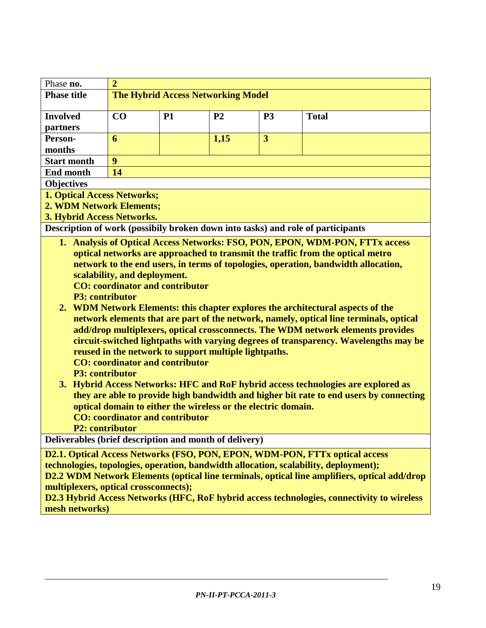| Phase no.          | 2                                         |           |                |                |              |  |  |  |  |  |  |  |
|--------------------|-------------------------------------------|-----------|----------------|----------------|--------------|--|--|--|--|--|--|--|
| <b>Phase title</b> | <b>The Hybrid Access Networking Model</b> |           |                |                |              |  |  |  |  |  |  |  |
|                    |                                           |           |                |                |              |  |  |  |  |  |  |  |
| <b>Involved</b>    | CO                                        | <b>P1</b> | P <sub>2</sub> | P <sub>3</sub> | <b>Total</b> |  |  |  |  |  |  |  |
| <i>partners</i>    |                                           |           |                |                |              |  |  |  |  |  |  |  |
| Person-            | 6                                         |           | 1,15           | 3              |              |  |  |  |  |  |  |  |
| months             |                                           |           |                |                |              |  |  |  |  |  |  |  |
| <b>Start month</b> | 9                                         |           |                |                |              |  |  |  |  |  |  |  |
| End month          | 14                                        |           |                |                |              |  |  |  |  |  |  |  |
| <b>Objectives</b>  |                                           |           |                |                |              |  |  |  |  |  |  |  |
| .                  | _____                                     |           |                |                |              |  |  |  |  |  |  |  |

**1. Optical Access Networks;**

**2. WDM Network Elements;**

**3. Hybrid Access Networks.** 

**Description of work (possibily broken down into tasks) and role of participants**

**1. Analysis of Optical Access Networks: FSO, PON, EPON, WDM-PON, FTTx access optical networks are approached to transmit the traffic from the optical metro network to the end users, in terms of topologies, operation, bandwidth allocation, scalability, and deployment.**

**CO: coordinator and contributor P3: contributor**

- **2. WDM Network Elements: this chapter explores the architectural aspects of the network elements that are part of the network, namely, optical line terminals, optical add/drop multiplexers, optical crossconnects. The WDM network elements provides circuit-switched lightpaths with varying degrees of transparency. Wavelengths may be reused in the network to support multiple lightpaths. CO: coordinator and contributor**
	- **P3: contributor**
- **3. Hybrid Access Networks: HFC and RoF hybrid access technologies are explored as they are able to provide high bandwidth and higher bit rate to end users by connecting optical domain to either the wireless or the electric domain. CO: coordinator and contributor**

**P2: contributor**

**Deliverables (brief description and month of delivery)**

**D2.1. Optical Access Networks (FSO, PON, EPON, WDM-PON, FTTx optical access technologies, topologies, operation, bandwidth allocation, scalability, deployment); D2.2 WDM Network Elements (optical line terminals, optical line amplifiers, optical add/drop multiplexers, optical crossconnects);**

**D2.3 Hybrid Access Networks (HFC, RoF hybrid access technologies, connectivity to wireless mesh networks)**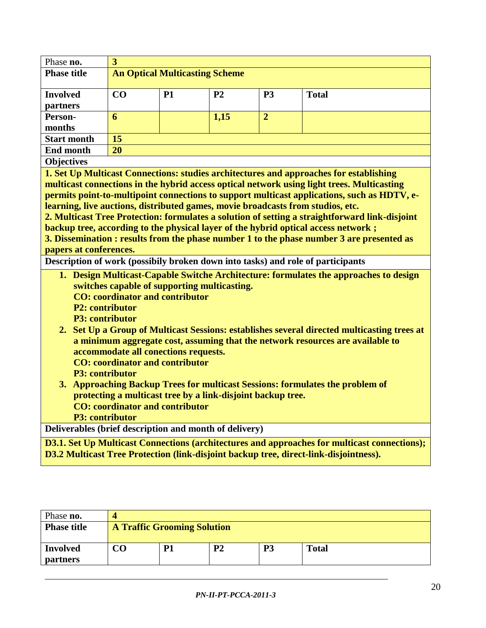| Phase no.                                              | $\overline{3}$                                              |                                       |                |                |                                                                                                     |
|--------------------------------------------------------|-------------------------------------------------------------|---------------------------------------|----------------|----------------|-----------------------------------------------------------------------------------------------------|
| <b>Phase title</b>                                     |                                                             | <b>An Optical Multicasting Scheme</b> |                |                |                                                                                                     |
|                                                        |                                                             |                                       |                |                |                                                                                                     |
| <b>Involved</b>                                        | CO                                                          | <b>P1</b>                             | P <sub>2</sub> | <b>P3</b>      | <b>Total</b>                                                                                        |
| partners                                               |                                                             |                                       |                |                |                                                                                                     |
| Person-                                                | 6                                                           |                                       | 1,15           | $\overline{2}$ |                                                                                                     |
| months                                                 |                                                             |                                       |                |                |                                                                                                     |
| <b>Start month</b>                                     | 15                                                          |                                       |                |                |                                                                                                     |
| <b>End month</b>                                       | 20                                                          |                                       |                |                |                                                                                                     |
| <b>Objectives</b>                                      |                                                             |                                       |                |                |                                                                                                     |
|                                                        |                                                             |                                       |                |                | 1. Set Up Multicast Connections: studies architectures and approaches for establishing              |
|                                                        |                                                             |                                       |                |                | multicast connections in the hybrid access optical network using light trees. Multicasting          |
|                                                        |                                                             |                                       |                |                | permits point-to-multipoint connections to support multicast applications, such as HDTV, e-         |
|                                                        |                                                             |                                       |                |                | learning, live auctions, distributed games, movie broadcasts from studios, etc.                     |
|                                                        |                                                             |                                       |                |                | 2. Multicast Tree Protection: formulates a solution of setting a straightforward link-disjoint      |
|                                                        |                                                             |                                       |                |                | backup tree, according to the physical layer of the hybrid optical access network;                  |
| papers at conferences.                                 |                                                             |                                       |                |                | 3. Dissemination : results from the phase number 1 to the phase number 3 are presented as           |
|                                                        |                                                             |                                       |                |                | Description of work (possibily broken down into tasks) and role of participants                     |
|                                                        |                                                             |                                       |                |                |                                                                                                     |
|                                                        |                                                             |                                       |                |                | 1. Design Multicast-Capable Switche Architecture: formulates the approaches to design               |
|                                                        | switches capable of supporting multicasting.                |                                       |                |                |                                                                                                     |
| <b>P2: contributor</b>                                 | <b>CO</b> : coordinator and contributor                     |                                       |                |                |                                                                                                     |
| <b>P3: contributor</b>                                 |                                                             |                                       |                |                |                                                                                                     |
|                                                        |                                                             |                                       |                |                | 2. Set Up a Group of Multicast Sessions: establishes several directed multicasting trees at         |
|                                                        |                                                             |                                       |                |                | a minimum aggregate cost, assuming that the network resources are available to                      |
|                                                        | accommodate all conections requests.                        |                                       |                |                |                                                                                                     |
|                                                        | <b>CO</b> : coordinator and contributor                     |                                       |                |                |                                                                                                     |
| <b>P3: contributor</b>                                 |                                                             |                                       |                |                |                                                                                                     |
|                                                        |                                                             |                                       |                |                | 3. Approaching Backup Trees for multicast Sessions: formulates the problem of                       |
|                                                        | protecting a multicast tree by a link-disjoint backup tree. |                                       |                |                |                                                                                                     |
|                                                        | <b>CO</b> : coordinator and contributor                     |                                       |                |                |                                                                                                     |
| <b>P3: contributor</b>                                 |                                                             |                                       |                |                |                                                                                                     |
| Deliverables (brief description and month of delivery) |                                                             |                                       |                |                |                                                                                                     |
|                                                        |                                                             |                                       |                |                | <b>D3.1. Set Up Multicast Connections (architectures and approaches for multicast connections);</b> |
|                                                        |                                                             |                                       |                |                | D3.2 Multicast Tree Protection (link-disjoint backup tree, direct-link-disjointness).               |
|                                                        |                                                             |                                       |                |                |                                                                                                     |

| Phase no.                          |    |                                    |                |    |              |  |  |  |  |  |  |  |  |  |
|------------------------------------|----|------------------------------------|----------------|----|--------------|--|--|--|--|--|--|--|--|--|
| <b>Phase title</b>                 |    | <b>A Traffic Grooming Solution</b> |                |    |              |  |  |  |  |  |  |  |  |  |
| <b>Involved</b><br><b>partners</b> | CO | P1                                 | P <sub>2</sub> | P3 | <b>Total</b> |  |  |  |  |  |  |  |  |  |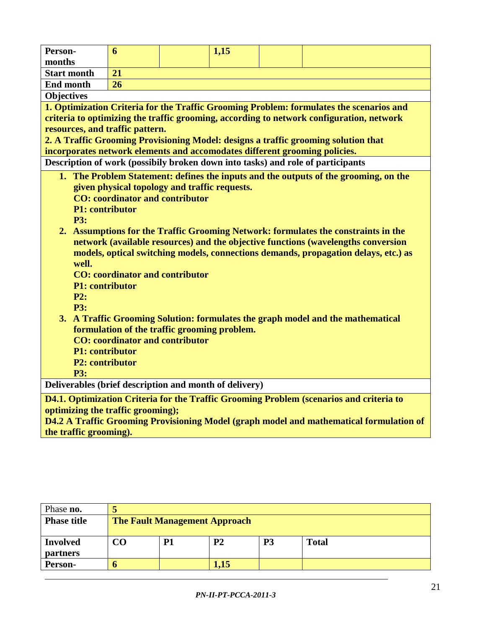| Person-                                                                                 | 6                                             |  | 1,15 |  |                                                                                          |  |  |  |  |  |  |  |
|-----------------------------------------------------------------------------------------|-----------------------------------------------|--|------|--|------------------------------------------------------------------------------------------|--|--|--|--|--|--|--|
| months                                                                                  |                                               |  |      |  |                                                                                          |  |  |  |  |  |  |  |
| <b>Start month</b>                                                                      | 21                                            |  |      |  |                                                                                          |  |  |  |  |  |  |  |
| <b>End month</b>                                                                        | 26                                            |  |      |  |                                                                                          |  |  |  |  |  |  |  |
| <b>Objectives</b>                                                                       |                                               |  |      |  |                                                                                          |  |  |  |  |  |  |  |
| 1. Optimization Criteria for the Traffic Grooming Problem: formulates the scenarios and |                                               |  |      |  |                                                                                          |  |  |  |  |  |  |  |
|                                                                                         |                                               |  |      |  | criteria to optimizing the traffic grooming, according to network configuration, network |  |  |  |  |  |  |  |
| resources, and traffic pattern.                                                         |                                               |  |      |  |                                                                                          |  |  |  |  |  |  |  |
|                                                                                         |                                               |  |      |  | 2. A Traffic Grooming Provisioning Model: designs a traffic grooming solution that       |  |  |  |  |  |  |  |
| incorporates network elements and accomodates different grooming policies.              |                                               |  |      |  |                                                                                          |  |  |  |  |  |  |  |
|                                                                                         |                                               |  |      |  | Description of work (possibily broken down into tasks) and role of participants          |  |  |  |  |  |  |  |
|                                                                                         |                                               |  |      |  | 1. The Problem Statement: defines the inputs and the outputs of the grooming, on the     |  |  |  |  |  |  |  |
|                                                                                         | given physical topology and traffic requests. |  |      |  |                                                                                          |  |  |  |  |  |  |  |
|                                                                                         | <b>CO</b> : coordinator and contributor       |  |      |  |                                                                                          |  |  |  |  |  |  |  |
| <b>P1: contributor</b>                                                                  |                                               |  |      |  |                                                                                          |  |  |  |  |  |  |  |
| <b>P3:</b>                                                                              |                                               |  |      |  |                                                                                          |  |  |  |  |  |  |  |
|                                                                                         |                                               |  |      |  | 2. Assumptions for the Traffic Grooming Network: formulates the constraints in the       |  |  |  |  |  |  |  |
|                                                                                         |                                               |  |      |  | network (available resources) and the objective functions (wavelengths conversion        |  |  |  |  |  |  |  |
|                                                                                         |                                               |  |      |  | models, optical switching models, connections demands, propagation delays, etc.) as      |  |  |  |  |  |  |  |
| well.                                                                                   |                                               |  |      |  |                                                                                          |  |  |  |  |  |  |  |
|                                                                                         | <b>CO</b> : coordinator and contributor       |  |      |  |                                                                                          |  |  |  |  |  |  |  |
| <b>P1: contributor</b>                                                                  |                                               |  |      |  |                                                                                          |  |  |  |  |  |  |  |
| P2:<br><b>P3:</b>                                                                       |                                               |  |      |  |                                                                                          |  |  |  |  |  |  |  |
|                                                                                         |                                               |  |      |  |                                                                                          |  |  |  |  |  |  |  |
|                                                                                         | formulation of the traffic grooming problem.  |  |      |  | 3. A Traffic Grooming Solution: formulates the graph model and the mathematical          |  |  |  |  |  |  |  |
|                                                                                         | <b>CO</b> : coordinator and contributor       |  |      |  |                                                                                          |  |  |  |  |  |  |  |
| P1: contributor                                                                         |                                               |  |      |  |                                                                                          |  |  |  |  |  |  |  |
| <b>P2: contributor</b>                                                                  |                                               |  |      |  |                                                                                          |  |  |  |  |  |  |  |
| <b>P3:</b>                                                                              |                                               |  |      |  |                                                                                          |  |  |  |  |  |  |  |
| Deliverables (brief description and month of delivery)                                  |                                               |  |      |  |                                                                                          |  |  |  |  |  |  |  |
|                                                                                         |                                               |  |      |  | D4.1. Optimization Criteria for the Traffic Grooming Problem (scenarios and criteria to  |  |  |  |  |  |  |  |
| optimizing the traffic grooming);                                                       |                                               |  |      |  |                                                                                          |  |  |  |  |  |  |  |
|                                                                                         |                                               |  |      |  | D4.2 A Traffic Grooming Provisioning Model (graph model and mathematical formulation of  |  |  |  |  |  |  |  |
| the traffic grooming).                                                                  |                                               |  |      |  |                                                                                          |  |  |  |  |  |  |  |
|                                                                                         |                                               |  |      |  |                                                                                          |  |  |  |  |  |  |  |

| Phase no.                          |    |                                      |           |                |              |  |  |  |  |  |  |  |  |  |
|------------------------------------|----|--------------------------------------|-----------|----------------|--------------|--|--|--|--|--|--|--|--|--|
| <b>Phase title</b>                 |    | <b>The Fault Management Approach</b> |           |                |              |  |  |  |  |  |  |  |  |  |
| <b>Involved</b><br><b>partners</b> | CO | P <sub>1</sub>                       | <b>P2</b> | P <sub>3</sub> | <b>Total</b> |  |  |  |  |  |  |  |  |  |
| Person-                            |    |                                      | 1,15      |                |              |  |  |  |  |  |  |  |  |  |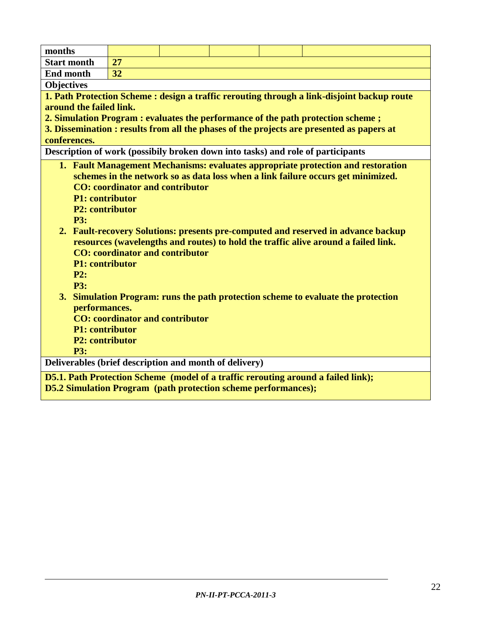| months                                                                                      |                                         |  |  |  |                                                                                           |  |  |  |  |  |  |  |
|---------------------------------------------------------------------------------------------|-----------------------------------------|--|--|--|-------------------------------------------------------------------------------------------|--|--|--|--|--|--|--|
| <b>Start month</b>                                                                          | 27                                      |  |  |  |                                                                                           |  |  |  |  |  |  |  |
| <b>End month</b>                                                                            | 32                                      |  |  |  |                                                                                           |  |  |  |  |  |  |  |
| <b>Objectives</b>                                                                           |                                         |  |  |  |                                                                                           |  |  |  |  |  |  |  |
| 1. Path Protection Scheme : design a traffic rerouting through a link-disjoint backup route |                                         |  |  |  |                                                                                           |  |  |  |  |  |  |  |
| around the failed link.                                                                     |                                         |  |  |  |                                                                                           |  |  |  |  |  |  |  |
|                                                                                             |                                         |  |  |  | 2. Simulation Program : evaluates the performance of the path protection scheme;          |  |  |  |  |  |  |  |
|                                                                                             |                                         |  |  |  | 3. Dissemination : results from all the phases of the projects are presented as papers at |  |  |  |  |  |  |  |
| conferences.                                                                                |                                         |  |  |  |                                                                                           |  |  |  |  |  |  |  |
|                                                                                             |                                         |  |  |  | Description of work (possibily broken down into tasks) and role of participants           |  |  |  |  |  |  |  |
|                                                                                             |                                         |  |  |  | 1. Fault Management Mechanisms: evaluates appropriate protection and restoration          |  |  |  |  |  |  |  |
|                                                                                             |                                         |  |  |  | schemes in the network so as data loss when a link failure occurs get minimized.          |  |  |  |  |  |  |  |
|                                                                                             | <b>CO</b> : coordinator and contributor |  |  |  |                                                                                           |  |  |  |  |  |  |  |
| <b>P1: contributor</b>                                                                      |                                         |  |  |  |                                                                                           |  |  |  |  |  |  |  |
| <b>P2:</b> contributor                                                                      |                                         |  |  |  |                                                                                           |  |  |  |  |  |  |  |
| <b>P3:</b>                                                                                  |                                         |  |  |  |                                                                                           |  |  |  |  |  |  |  |
|                                                                                             |                                         |  |  |  | 2. Fault-recovery Solutions: presents pre-computed and reserved in advance backup         |  |  |  |  |  |  |  |
|                                                                                             |                                         |  |  |  | resources (wavelengths and routes) to hold the traffic alive around a failed link.        |  |  |  |  |  |  |  |
|                                                                                             | <b>CO</b> : coordinator and contributor |  |  |  |                                                                                           |  |  |  |  |  |  |  |
| <b>P1: contributor</b>                                                                      |                                         |  |  |  |                                                                                           |  |  |  |  |  |  |  |
| P2:                                                                                         |                                         |  |  |  |                                                                                           |  |  |  |  |  |  |  |
| <b>P3:</b>                                                                                  |                                         |  |  |  |                                                                                           |  |  |  |  |  |  |  |
| performances.                                                                               |                                         |  |  |  | 3. Simulation Program: runs the path protection scheme to evaluate the protection         |  |  |  |  |  |  |  |
|                                                                                             | <b>CO</b> : coordinator and contributor |  |  |  |                                                                                           |  |  |  |  |  |  |  |
| <b>P1: contributor</b>                                                                      |                                         |  |  |  |                                                                                           |  |  |  |  |  |  |  |
| <b>P2: contributor</b>                                                                      |                                         |  |  |  |                                                                                           |  |  |  |  |  |  |  |
| <b>P3:</b>                                                                                  |                                         |  |  |  |                                                                                           |  |  |  |  |  |  |  |
| Deliverables (brief description and month of delivery)                                      |                                         |  |  |  |                                                                                           |  |  |  |  |  |  |  |
|                                                                                             |                                         |  |  |  | D5.1. Path Protection Scheme (model of a traffic rerouting around a failed link);         |  |  |  |  |  |  |  |
| <b>D5.2 Simulation Program</b> (path protection scheme performances);                       |                                         |  |  |  |                                                                                           |  |  |  |  |  |  |  |
|                                                                                             |                                         |  |  |  |                                                                                           |  |  |  |  |  |  |  |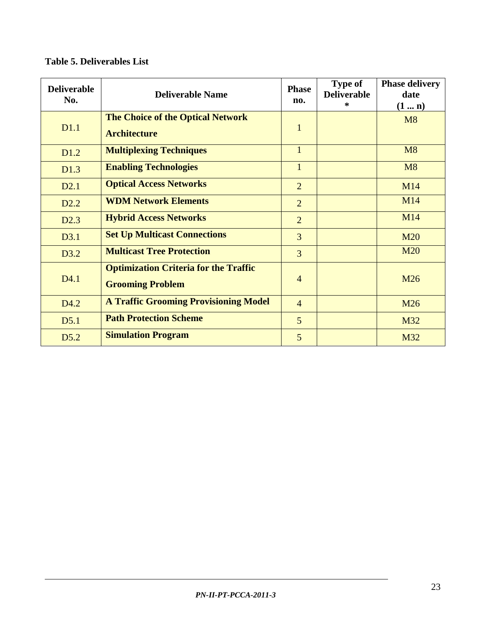| <b>Deliverable</b><br>No. | <b>Deliverable Name</b>                                                 | <b>Phase</b><br>no. | <b>Type of</b><br><b>Deliverable</b><br>$\ast$ | <b>Phase delivery</b><br>date<br>$(1 \dots n)$ |
|---------------------------|-------------------------------------------------------------------------|---------------------|------------------------------------------------|------------------------------------------------|
| D <sub>1.1</sub>          | <b>The Choice of the Optical Network</b><br><b>Architecture</b>         | $\mathbf{1}$        |                                                | M8                                             |
| D <sub>1.2</sub>          | <b>Multiplexing Techniques</b>                                          | $\mathbf{1}$        |                                                | M8                                             |
| D1.3                      | <b>Enabling Technologies</b>                                            | $\mathbf{1}$        |                                                | M8                                             |
| D2.1                      | <b>Optical Access Networks</b>                                          | $\overline{2}$      |                                                | M14                                            |
| D <sub>2.2</sub>          | <b>WDM Network Elements</b>                                             | $\overline{2}$      |                                                | M14                                            |
| D2.3                      | <b>Hybrid Access Networks</b>                                           | $\overline{2}$      |                                                | M14                                            |
| D3.1                      | <b>Set Up Multicast Connections</b>                                     | $\overline{3}$      |                                                | <b>M20</b>                                     |
| D3.2                      | <b>Multicast Tree Protection</b>                                        | $\overline{3}$      |                                                | <b>M20</b>                                     |
| D4.1                      | <b>Optimization Criteria for the Traffic</b><br><b>Grooming Problem</b> | $\overline{4}$      |                                                | M26                                            |
| D <sub>4.2</sub>          | <b>A Traffic Grooming Provisioning Model</b>                            | $\overline{4}$      |                                                | M26                                            |
| D5.1                      | <b>Path Protection Scheme</b>                                           | 5                   |                                                | M32                                            |
| D5.2                      | <b>Simulation Program</b>                                               | 5                   |                                                | M32                                            |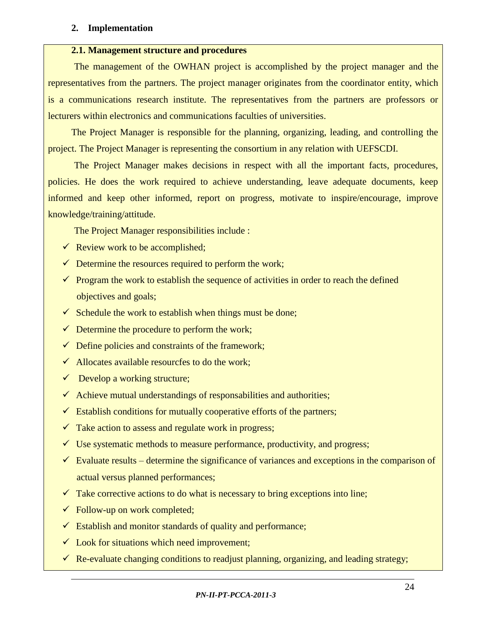#### **2. Implementation**

#### **2.1. Management structure and procedures**

 The management of the OWHAN project is accomplished by the project manager and the representatives from the partners. The project manager originates from the coordinator entity, which is a communications research institute. The representatives from the partners are professors or lecturers within electronics and communications faculties of universities.

The Project Manager is responsible for the planning, organizing, leading, and controlling the project. The Project Manager is representing the consortium in any relation with UEFSCDI.

 The Project Manager makes decisions in respect with all the important facts, procedures, policies. He does the work required to achieve understanding, leave adequate documents, keep informed and keep other informed, report on progress, motivate to inspire/encourage, improve knowledge/training/attitude.

The Project Manager responsibilities include :

- $\checkmark$  Review work to be accomplished;
- $\checkmark$  Determine the resources required to perform the work;
- $\checkmark$  Program the work to establish the sequence of activities in order to reach the defined objectives and goals;
- $\checkmark$  Schedule the work to establish when things must be done;
- $\checkmark$  Determine the procedure to perform the work;
- $\checkmark$  Define policies and constraints of the framework;
- $\checkmark$  Allocates available resourcfes to do the work;
- $\checkmark$  Develop a working structure;
- $\checkmark$  Achieve mutual understandings of responsabilities and authorities;
- $\checkmark$  Establish conditions for mutually cooperative efforts of the partners;
- $\checkmark$  Take action to assess and regulate work in progress;
- $\checkmark$  Use systematic methods to measure performance, productivity, and progress;
- $\checkmark$  Evaluate results determine the significance of variances and exceptions in the comparison of actual versus planned performances;
- $\checkmark$  Take corrective actions to do what is necessary to bring exceptions into line;
- $\checkmark$  Follow-up on work completed;
- $\checkmark$  Establish and monitor standards of quality and performance;
- $\checkmark$  Look for situations which need improvement;
- $\checkmark$  Re-evaluate changing conditions to readjust planning, organizing, and leading strategy;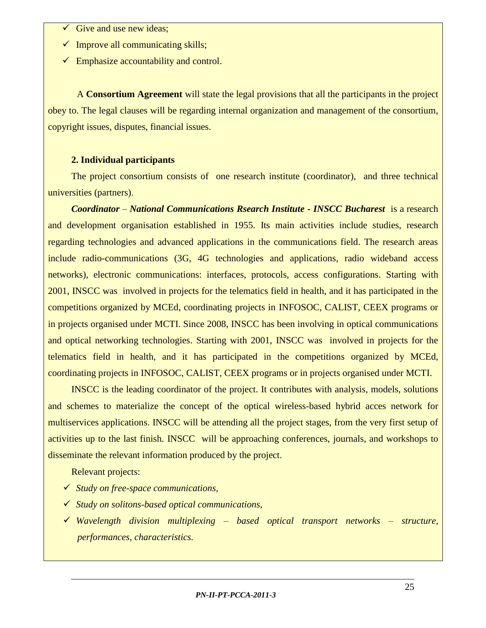- Give and use new ideas;
- $\checkmark$  Improve all communicating skills;
- $\checkmark$  Emphasize accountability and control.

A **Consortium Agreement** will state the legal provisions that all the participants in the project obey to. The legal clauses will be regarding internal organization and management of the consortium, copyright issues, disputes, financial issues.

#### **2. Individual participants**

The project consortium consists of one research institute (coordinator), and three technical universities (partners).

*Coordinator – National Communications Rsearch Institute - INSCC Bucharest* is a research and development organisation established in 1955. Its main activities include studies, research regarding technologies and advanced applications in the communications field. The research areas include radio-communications (3G, 4G technologies and applications, radio wideband access networks), electronic communications: interfaces, protocols, access configurations. Starting with 2001, INSCC was involved in projects for the telematics field in health, and it has participated in the competitions organized by MCEd, coordinating projects in INFOSOC, CALIST, CEEX programs or in projects organised under MCTI. Since 2008, INSCC has been involving in optical communications and optical networking technologies. Starting with 2001, INSCC was involved in projects for the telematics field in health, and it has participated in the competitions organized by MCEd, coordinating projects in INFOSOC, CALIST, CEEX programs or in projects organised under MCTI.

INSCC is the leading coordinator of the project. It contributes with analysis, models, solutions and schemes to materialize the concept of the optical wireless-based hybrid acces network for multiservices applications. INSCC will be attending all the project stages, from the very first setup of activities up to the last finish. INSCC will be approaching conferences, journals, and workshops to disseminate the relevant information produced by the project.

Relevant projects:

- *Study on free-space communications,*
- *Study on solitons-based optical communications,*
- *Wavelength division multiplexing – based optical transport networks – structure, performances, characteristics.*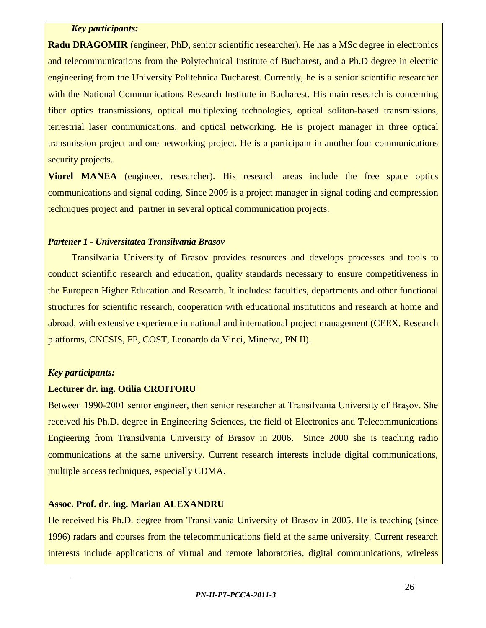#### *Key participants:*

**Radu DRAGOMIR** (engineer, PhD, senior scientific researcher). He has a MSc degree in electronics and telecommunications from the Polytechnical Institute of Bucharest, and a Ph.D degree in electric engineering from the University Politehnica Bucharest. Currently, he is a senior scientific researcher with the National Communications Research Institute in Bucharest. His main research is concerning fiber optics transmissions, optical multiplexing technologies, optical soliton-based transmissions, terrestrial laser communications, and optical networking. He is project manager in three optical transmission project and one networking project. He is a participant in another four communications security projects.

**Viorel MANEA** (engineer, researcher). His research areas include the free space optics communications and signal coding. Since 2009 is a project manager in signal coding and compression techniques project and partner in several optical communication projects.

### *Partener 1 - Universitatea Transilvania Brasov*

Transilvania University of Brasov provides resources and develops processes and tools to conduct scientific research and education, quality standards necessary to ensure competitiveness in the European Higher Education and Research. It includes: faculties, departments and other functional structures for scientific research, cooperation with educational institutions and research at home and abroad, with extensive experience in national and international project management (CEEX, Research platforms, CNCSIS, FP, COST, Leonardo da Vinci, Minerva, PN II).

#### *Key participants:*

#### **Lecturer dr. ing. Otilia CROITORU**

Between 1990-2001 senior engineer, then senior researcher at Transilvania University of Braşov. She received his Ph.D. degree in Engineering Sciences, the field of Electronics and Telecommunications Engieering from Transilvania University of Brasov in 2006. Since 2000 she is teaching radio communications at the same university. Current research interests include digital communications, multiple access techniques, especially CDMA.

#### **Assoc. Prof. dr. ing. Marian ALEXANDRU**

He received his Ph.D. degree from Transilvania University of Brasov in 2005. He is teaching (since 1996) radars and courses from the telecommunications field at the same university. Current research interests include applications of virtual and remote laboratories, digital communications, wireless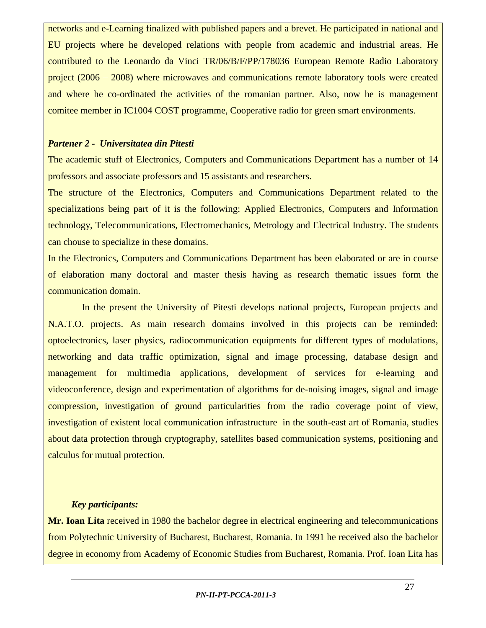networks and e-Learning finalized with published papers and a brevet. He participated in national and EU projects where he developed relations with people from academic and industrial areas. He contributed to the Leonardo da Vinci TR/06/B/F/PP/178036 European Remote Radio Laboratory project (2006 – 2008) where microwaves and communications remote laboratory tools were created and where he co-ordinated the activities of the romanian partner. Also, now he is management comitee member in IC1004 COST programme, Cooperative radio for green smart environments.

#### *Partener 2 - Universitatea din Pitesti*

The academic stuff of Electronics, Computers and Communications Department has a number of 14 professors and associate professors and 15 assistants and researchers.

The structure of the Electronics, Computers and Communications Department related to the specializations being part of it is the following: Applied Electronics, Computers and Information technology, Telecommunications, Electromechanics, Metrology and Electrical Industry. The students can chouse to specialize in these domains.

In the Electronics, Computers and Communications Department has been elaborated or are in course of elaboration many doctoral and master thesis having as research thematic issues form the communication domain.

In the present the University of Pitesti develops national projects, European projects and N.A.T.O. projects. As main research domains involved in this projects can be reminded: optoelectronics, laser physics, radiocommunication equipments for different types of modulations, networking and data traffic optimization, signal and image processing, database design and management for multimedia applications, development of services for e-learning and videoconference, design and experimentation of algorithms for de-noising images, signal and image compression, investigation of ground particularities from the radio coverage point of view, investigation of existent local communication infrastructure in the south-east art of Romania, studies about data protection through cryptography, satellites based communication systems, positioning and calculus for mutual protection.

# *Key participants:*

**Mr. Ioan Lita** received in 1980 the bachelor degree in electrical engineering and telecommunications from Polytechnic University of Bucharest, Bucharest, Romania. In 1991 he received also the bachelor degree in economy from Academy of Economic Studies from Bucharest, Romania. Prof. Ioan Lita has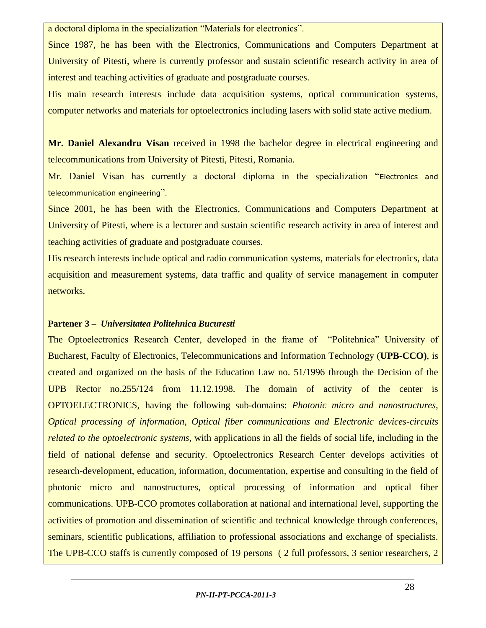a doctoral diploma in the specialization "Materials for electronics".

Since 1987, he has been with the Electronics, Communications and Computers Department at University of Pitesti, where is currently professor and sustain scientific research activity in area of interest and teaching activities of graduate and postgraduate courses.

His main research interests include data acquisition systems, optical communication systems, computer networks and materials for optoelectronics including lasers with solid state active medium.

**Mr. Daniel Alexandru Visan** received in 1998 the bachelor degree in electrical engineering and telecommunications from University of Pitesti, Pitesti, Romania.

Mr. Daniel Visan has currently a doctoral diploma in the specialization "Electronics and telecommunication engineering".

Since 2001, he has been with the Electronics, Communications and Computers Department at University of Pitesti, where is a lecturer and sustain scientific research activity in area of interest and teaching activities of graduate and postgraduate courses.

His research interests include optical and radio communication systems, materials for electronics, data acquisition and measurement systems, data traffic and quality of service management in computer networks.

#### **Partener 3 –** *Universitatea Politehnica Bucuresti*

The Optoelectronics Research Center, developed in the frame of "Politehnica" University of Bucharest, Faculty of Electronics, Telecommunications and Information Technology (**UPB-CCO)**, is created and organized on the basis of the Education Law no. 51/1996 through the Decision of the UPB Rector no.255/124 from 11.12.1998. The domain of activity of the center is OPTOELECTRONICS, having the following sub-domains: *Photonic micro and nanostructures, Optical processing of information, Optical fiber communications and Electronic devices-circuits related to the optoelectronic systems*, with applications in all the fields of social life, including in the field of national defense and security. Optoelectronics Research Center develops activities of research-development, education, information, documentation, expertise and consulting in the field of photonic micro and nanostructures, optical processing of information and optical fiber communications. UPB-CCO promotes collaboration at national and international level, supporting the activities of promotion and dissemination of scientific and technical knowledge through conferences, seminars, scientific publications, affiliation to professional associations and exchange of specialists. The UPB-CCO staffs is currently composed of 19 persons ( 2 full professors, 3 senior researchers, 2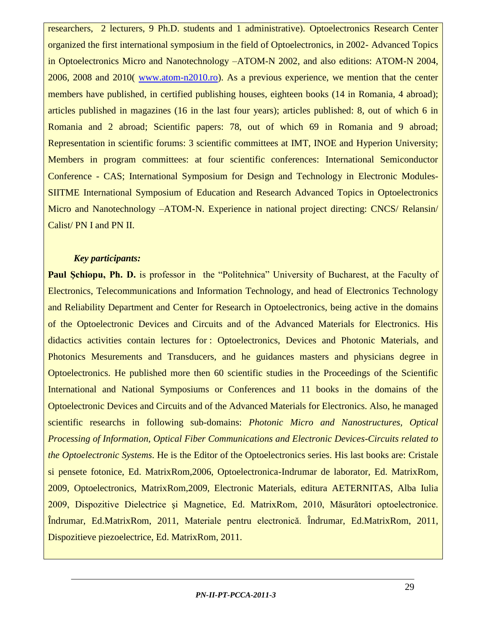researchers, 2 lecturers, 9 Ph.D. students and 1 administrative). Optoelectronics Research Center organized the first international symposium in the field of Optoelectronics, in 2002- Advanced Topics in Optoelectronics Micro and Nanotechnology –ATOM-N 2002, and also editions: ATOM-N 2004, 2006, 2008 and 2010( [www.atom-n2010.ro\)](http://www.atom-n2008.ro/). As a previous experience, we mention that the center members have published, in certified publishing houses, eighteen books (14 in Romania, 4 abroad); articles published in magazines (16 in the last four years); articles published: 8, out of which 6 in Romania and 2 abroad; Scientific papers: 78, out of which 69 in Romania and 9 abroad; Representation in scientific forums: 3 scientific committees at IMT, INOE and Hyperion University; Members in program committees: at four scientific conferences: International Semiconductor Conference - CAS; International Symposium for Design and Technology in Electronic Modules-SIITME International Symposium of Education and Research Advanced Topics in Optoelectronics Micro and Nanotechnology –ATOM-N. Experience in national project directing: CNCS/ Relansin/ Calist/ PN I and PN II.

### *Key participants:*

**Paul Schiopu, Ph. D.** is professor in the "Politehnica" University of Bucharest, at the Faculty of Electronics, Telecommunications and Information Technology, and head of Electronics Technology and Reliability Department and Center for Research in Optoelectronics, being active in the domains of the Optoelectronic Devices and Circuits and of the Advanced Materials for Electronics. His didactics activities contain lectures for : Optoelectronics, Devices and Photonic Materials, and Photonics Mesurements and Transducers, and he guidances masters and physicians degree in Optoelectronics. He published more then 60 scientific studies in the Proceedings of the Scientific International and National Symposiums or Conferences and 11 books in the domains of the Optoelectronic Devices and Circuits and of the Advanced Materials for Electronics. Also, he managed scientific researchs in following sub-domains: *Photonic Micro and Nanostructures, Optical Processing of Information, Optical Fiber Communications and Electronic Devices-Circuits related to the Optoelectronic Systems*. He is the Editor of the Optoelectronics series. His last books are: Cristale si pensete fotonice, Ed. MatrixRom,2006, Optoelectronica-Indrumar de laborator, Ed. MatrixRom, 2009, Optoelectronics, MatrixRom,2009, Electronic Materials, editura AETERNITAS, Alba Iulia 2009, Dispozitive Dielectrice şi Magnetice, Ed. MatrixRom, 2010, Măsurători optoelectronice. Îndrumar, Ed.MatrixRom, 2011, Materiale pentru electronică. Îndrumar, Ed.MatrixRom, 2011, Dispozitieve piezoelectrice, Ed. MatrixRom, 2011.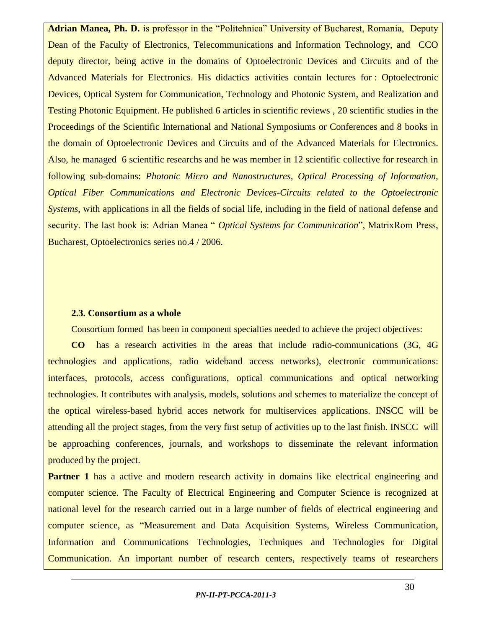**Adrian Manea, Ph. D.** is professor in the "Politehnica" University of Bucharest, Romania, Deputy Dean of the Faculty of Electronics, Telecommunications and Information Technology, and CCO deputy director, being active in the domains of Optoelectronic Devices and Circuits and of the Advanced Materials for Electronics. His didactics activities contain lectures for : Optoelectronic Devices, Optical System for Communication, Technology and Photonic System, and Realization and Testing Photonic Equipment. He published 6 articles in scientific reviews , 20 scientific studies in the Proceedings of the Scientific International and National Symposiums or Conferences and 8 books in the domain of Optoelectronic Devices and Circuits and of the Advanced Materials for Electronics. Also, he managed 6 scientific researchs and he was member in 12 scientific collective for research in following sub-domains: *Photonic Micro and Nanostructures, Optical Processing of Information, Optical Fiber Communications and Electronic Devices-Circuits related to the Optoelectronic Systems*, with applications in all the fields of social life, including in the field of national defense and security. The last book is: Adrian Manea " *Optical Systems for Communication*", MatrixRom Press, Bucharest, Optoelectronics series no.4 / 2006.

#### **2.3. Consortium as a whole**

Consortium formed has been in component specialties needed to achieve the project objectives:

**CO** has a research activities in the areas that include radio-communications (3G, 4G technologies and applications, radio wideband access networks), electronic communications: interfaces, protocols, access configurations, optical communications and optical networking technologies. It contributes with analysis, models, solutions and schemes to materialize the concept of the optical wireless-based hybrid acces network for multiservices applications. INSCC will be attending all the project stages, from the very first setup of activities up to the last finish. INSCC will be approaching conferences, journals, and workshops to disseminate the relevant information produced by the project.

**Partner 1** has a active and modern research activity in domains like electrical engineering and computer science. The Faculty of Electrical Engineering and Computer Science is recognized at national level for the research carried out in a large number of fields of electrical engineering and computer science, as "Measurement and Data Acquisition Systems, Wireless Communication, Information and Communications Technologies, Techniques and Technologies for Digital Communication. An important number of research centers, respectively teams of researchers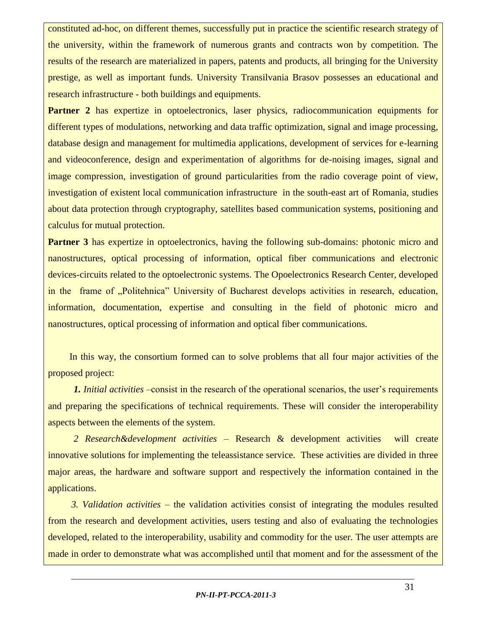constituted ad-hoc, on different themes, successfully put in practice the scientific research strategy of the university, within the framework of numerous grants and contracts won by competition. The results of the research are materialized in papers, patents and products, all bringing for the University prestige, as well as important funds. University Transilvania Brasov possesses an educational and research infrastructure - both buildings and equipments.

**Partner 2** has expertize in optoelectronics, laser physics, radiocommunication equipments for different types of modulations, networking and data traffic optimization, signal and image processing, database design and management for multimedia applications, development of services for e-learning and videoconference, design and experimentation of algorithms for de-noising images, signal and image compression, investigation of ground particularities from the radio coverage point of view, investigation of existent local communication infrastructure in the south-east art of Romania, studies about data protection through cryptography, satellites based communication systems, positioning and calculus for mutual protection.

**Partner 3** has expertize in optoelectronics, having the following sub-domains: photonic micro and nanostructures, optical processing of information, optical fiber communications and electronic devices-circuits related to the optoelectronic systems. The Opoelectronics Research Center, developed in the frame of "Politehnica" University of Bucharest develops activities in research, education, information, documentation, expertise and consulting in the field of photonic micro and nanostructures, optical processing of information and optical fiber communications.

 In this way, the consortium formed can to solve problems that all four major activities of the proposed project:

*1. Initial activities* –consist in the research of the operational scenarios, the user's requirements and preparing the specifications of technical requirements. These will consider the interoperability aspects between the elements of the system.

*2 Research&development activities* – Research & development activities will create innovative solutions for implementing the teleassistance service. These activities are divided in three major areas, the hardware and software support and respectively the information contained in the applications.

*3. Validation activities* – the validation activities consist of integrating the modules resulted from the research and development activities, users testing and also of evaluating the technologies developed, related to the interoperability, usability and commodity for the user. The user attempts are made in order to demonstrate what was accomplished until that moment and for the assessment of the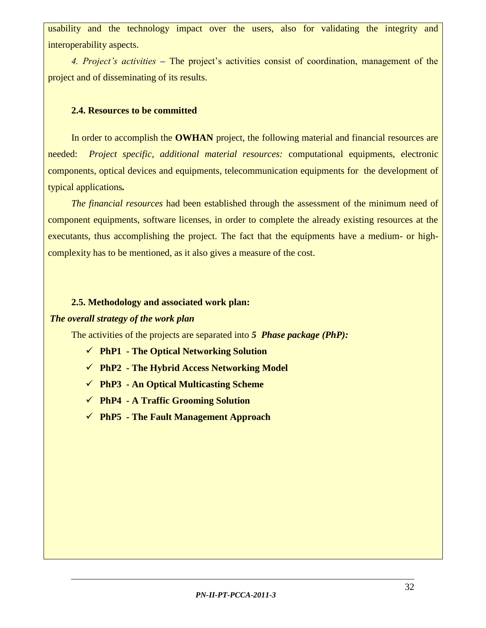usability and the technology impact over the users, also for validating the integrity and interoperability aspects.

*4. Project's activities* **–** The project's activities consist of coordination, management of the project and of disseminating of its results.

#### **2.4. Resources to be committed**

In order to accomplish the **OWHAN** project, the following material and financial resources are needed: *Project specific, additional material resources:* computational equipments, electronic components, optical devices and equipments, telecommunication equipments for the development of typical applications*.*

*The financial resources* had been established through the assessment of the minimum need of component equipments, software licenses, in order to complete the already existing resources at the executants, thus accomplishing the project. The fact that the equipments have a medium- or highcomplexity has to be mentioned, as it also gives a measure of the cost.

#### **2.5. Methodology and associated work plan:**

#### *The overall strategy of the work plan*

The activities of the projects are separated into *5 Phase package (PhP):*

- **PhP1 - The Optical Networking Solution**
- **PhP2 - The Hybrid Access Networking Model**
- **PhP3 - An Optical Multicasting Scheme**
- **PhP4 - A Traffic Grooming Solution**
- **PhP5 - The Fault Management Approach**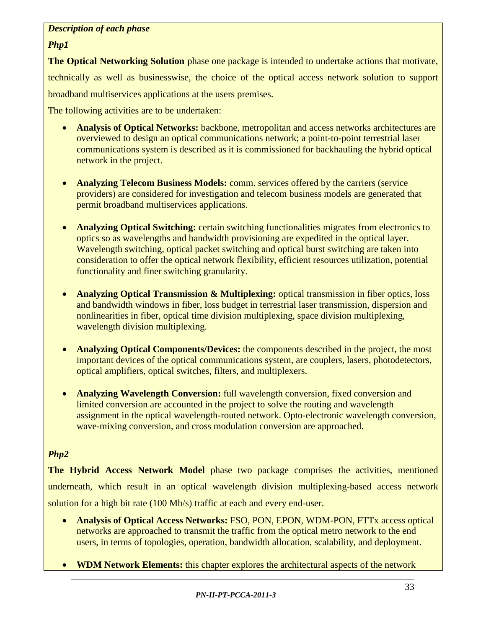### *Description of each phase*

### *Php1*

**The Optical Networking Solution** phase one package is intended to undertake actions that motivate, technically as well as businesswise, the choice of the optical access network solution to support broadband multiservices applications at the users premises.

The following activities are to be undertaken:

- **Analysis of Optical Networks:** backbone, metropolitan and access networks architectures are overviewed to design an optical communications network; a point-to-point terrestrial laser communications system is described as it is commissioned for backhauling the hybrid optical network in the project.
- **Analyzing Telecom Business Models:** comm. services offered by the carriers (service providers) are considered for investigation and telecom business models are generated that permit broadband multiservices applications.
- **Analyzing Optical Switching:** certain switching functionalities migrates from electronics to optics so as wavelengths and bandwidth provisioning are expedited in the optical layer. Wavelength switching, optical packet switching and optical burst switching are taken into consideration to offer the optical network flexibility, efficient resources utilization, potential functionality and finer switching granularity.
- **Analyzing Optical Transmission & Multiplexing:** optical transmission in fiber optics, loss and bandwidth windows in fiber, loss budget in terrestrial laser transmission, dispersion and nonlinearities in fiber, optical time division multiplexing, space division multiplexing, wavelength division multiplexing.
- **Analyzing Optical Components/Devices:** the components described in the project, the most important devices of the optical communications system, are couplers, lasers, photodetectors, optical amplifiers, optical switches, filters, and multiplexers.
- **Analyzing Wavelength Conversion:** full wavelength conversion, fixed conversion and limited conversion are accounted in the project to solve the routing and wavelength assignment in the optical wavelength-routed network. Opto-electronic wavelength conversion, wave-mixing conversion, and cross modulation conversion are approached.

# *Php2*

**The Hybrid Access Network Model** phase two package comprises the activities, mentioned underneath, which result in an optical wavelength division multiplexing-based access network solution for a high bit rate (100 Mb/s) traffic at each and every end-user.

- **Analysis of Optical Access Networks:** FSO, PON, EPON, WDM-PON, FTTx access optical networks are approached to transmit the traffic from the optical metro network to the end users, in terms of topologies, operation, bandwidth allocation, scalability, and deployment.
- **WDM Network Elements:** this chapter explores the architectural aspects of the network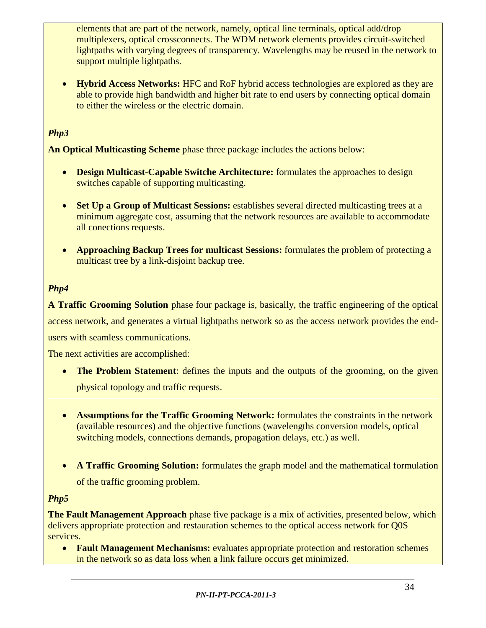elements that are part of the network, namely, optical line terminals, optical add/drop multiplexers, optical crossconnects. The WDM network elements provides circuit-switched lightpaths with varying degrees of transparency. Wavelengths may be reused in the network to support multiple lightpaths.

 **Hybrid Access Networks:** HFC and RoF hybrid access technologies are explored as they are able to provide high bandwidth and higher bit rate to end users by connecting optical domain to either the wireless or the electric domain.

# *Php3*

**An Optical Multicasting Scheme** phase three package includes the actions below:

- **Design Multicast-Capable Switche Architecture:** formulates the approaches to design switches capable of supporting multicasting.
- Set Up a Group of Multicast Sessions: establishes several directed multicasting trees at a minimum aggregate cost, assuming that the network resources are available to accommodate all conections requests.
- **Approaching Backup Trees for multicast Sessions:** formulates the problem of protecting a multicast tree by a link-disjoint backup tree.

# *Php4*

**A Traffic Grooming Solution** phase four package is, basically, the traffic engineering of the optical access network, and generates a virtual lightpaths network so as the access network provides the end-

users with seamless communications.

The next activities are accomplished:

- The Problem Statement: defines the inputs and the outputs of the grooming, on the given physical topology and traffic requests.
- **Assumptions for the Traffic Grooming Network:** formulates the constraints in the network (available resources) and the objective functions (wavelengths conversion models, optical switching models, connections demands, propagation delays, etc.) as well.
- **A Traffic Grooming Solution:** formulates the graph model and the mathematical formulation of the traffic grooming problem.

#### *Php5*

**The Fault Management Approach** phase five package is a mix of activities, presented below, which delivers appropriate protection and restauration schemes to the optical access network for Q0S services.

**• Fault Management Mechanisms:** evaluates appropriate protection and restoration schemes in the network so as data loss when a link failure occurs get minimized.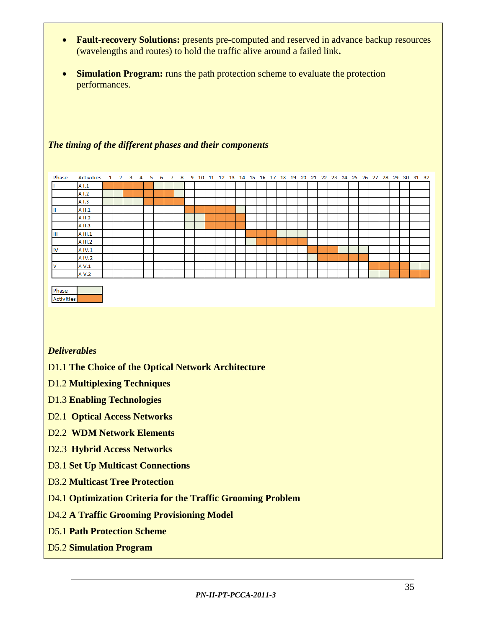- **Fault-recovery Solutions:** presents pre-computed and reserved in advance backup resources (wavelengths and routes) to hold the traffic alive around a failed link**.**
- **Simulation Program:** runs the path protection scheme to evaluate the protection performances.

#### *The timing of the different phases and their components*

| Phase             | <b>Activities</b> | $\mathbf{1}$ | $\overline{2}$ | $_{3}$ | 4 | 5 | 6 | $\overline{7}$ | -8 |  |  |  |  |  |  |  |  |  |  |  | 9 10 11 12 13 14 15 16 17 18 19 20 21 22 23 24 25 26 27 28 29 30 31 32 |  |
|-------------------|-------------------|--------------|----------------|--------|---|---|---|----------------|----|--|--|--|--|--|--|--|--|--|--|--|------------------------------------------------------------------------|--|
|                   | A1.1              |              |                |        |   |   |   |                |    |  |  |  |  |  |  |  |  |  |  |  |                                                                        |  |
|                   | A I.2             |              |                |        |   |   |   |                |    |  |  |  |  |  |  |  |  |  |  |  |                                                                        |  |
|                   | A I.3             |              |                |        |   |   |   |                |    |  |  |  |  |  |  |  |  |  |  |  |                                                                        |  |
| ш                 | A II.1            |              |                |        |   |   |   |                |    |  |  |  |  |  |  |  |  |  |  |  |                                                                        |  |
|                   | A II.2            |              |                |        |   |   |   |                |    |  |  |  |  |  |  |  |  |  |  |  |                                                                        |  |
|                   | A II.3            |              |                |        |   |   |   |                |    |  |  |  |  |  |  |  |  |  |  |  |                                                                        |  |
| Ш                 | A III.1           |              |                |        |   |   |   |                |    |  |  |  |  |  |  |  |  |  |  |  |                                                                        |  |
|                   | A III.2           |              |                |        |   |   |   |                |    |  |  |  |  |  |  |  |  |  |  |  |                                                                        |  |
| IIV               | A IV.1            |              |                |        |   |   |   |                |    |  |  |  |  |  |  |  |  |  |  |  |                                                                        |  |
|                   | A IV.2            |              |                |        |   |   |   |                |    |  |  |  |  |  |  |  |  |  |  |  |                                                                        |  |
| N                 | A V.1             |              |                |        |   |   |   |                |    |  |  |  |  |  |  |  |  |  |  |  |                                                                        |  |
|                   | A V.2             |              |                |        |   |   |   |                |    |  |  |  |  |  |  |  |  |  |  |  |                                                                        |  |
|                   |                   |              |                |        |   |   |   |                |    |  |  |  |  |  |  |  |  |  |  |  |                                                                        |  |
| Phase             |                   |              |                |        |   |   |   |                |    |  |  |  |  |  |  |  |  |  |  |  |                                                                        |  |
| <b>Activities</b> |                   |              |                |        |   |   |   |                |    |  |  |  |  |  |  |  |  |  |  |  |                                                                        |  |

#### *Deliverables*

- D1.1 **The Choice of the Optical Network Architecture**
- D1.2 **Multiplexing Techniques**
- D1.3 **Enabling Technologies**
- D2.1 **Optical Access Networks**
- D2.2 **WDM Network Elements**
- D2.3 **Hybrid Access Networks**
- D3.1 **Set Up Multicast Connections**
- D3.2 **Multicast Tree Protection**
- D4.1 **Optimization Criteria for the Traffic Grooming Problem**
- D4.2 **A Traffic Grooming Provisioning Model**
- D5.1 **Path Protection Scheme**
- D5.2 **Simulation Program**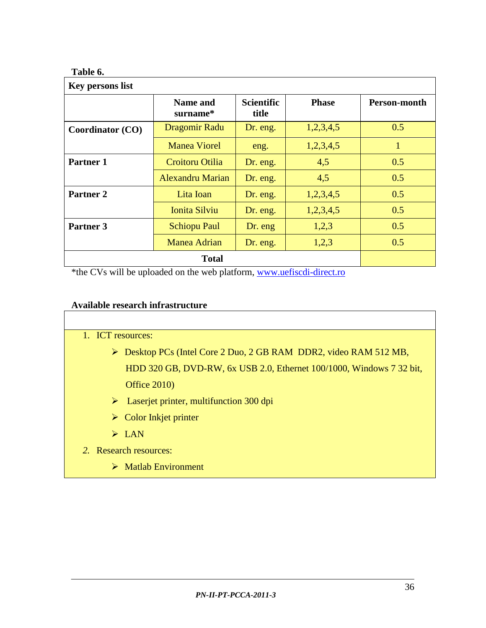# **Table 6.**

| Key persons list        |                             |                            |              |              |
|-------------------------|-----------------------------|----------------------------|--------------|--------------|
|                         | <b>Name and</b><br>surname* | <b>Scientific</b><br>title | <b>Phase</b> | Person-month |
| <b>Coordinator (CO)</b> | Dragomir Radu               | Dr. eng.                   | 1,2,3,4,5    | 0.5          |
|                         | <b>Manea Viorel</b>         | eng.                       | 1,2,3,4,5    |              |
| Partner 1               | Croitoru Otilia             | Dr. eng.                   | 4,5          | 0.5          |
|                         | <b>Alexandru Marian</b>     | Dr. eng.                   | 4,5          | 0.5          |
| <b>Partner 2</b>        | Lita Ioan                   | Dr. eng.                   | 1,2,3,4,5    | 0.5          |
|                         | <b>Ionita Silviu</b>        | Dr. eng.                   | 1,2,3,4,5    | 0.5          |
| Partner 3               | <b>Schiopu Paul</b>         | Dr. eng                    | 1,2,3        | 0.5          |
|                         | <b>Manea Adrian</b>         | Dr. eng.                   | 1,2,3        | 0.5          |
|                         | <b>Total</b>                |                            |              |              |

\*the CVs will be uploaded on the web platform, [www.uefiscdi-direct.ro](http://www.uefiscdi-direct.ro/)

# **Available research infrastructure**

| 1. ICT resources:                                                                |
|----------------------------------------------------------------------------------|
| $\triangleright$ Desktop PCs (Intel Core 2 Duo, 2 GB RAM DDR2, video RAM 512 MB, |
| HDD 320 GB, DVD-RW, 6x USB 2.0, Ethernet 100/1000, Windows 7 32 bit,             |
| <b>Office 2010</b> )                                                             |
| $\triangleright$ Laserjet printer, multifunction 300 dpi                         |
| $\triangleright$ Color Inkjet printer                                            |
| $\triangleright$ LAN                                                             |
| 2. Research resources:                                                           |
| $\triangleright$ Matlab Environment                                              |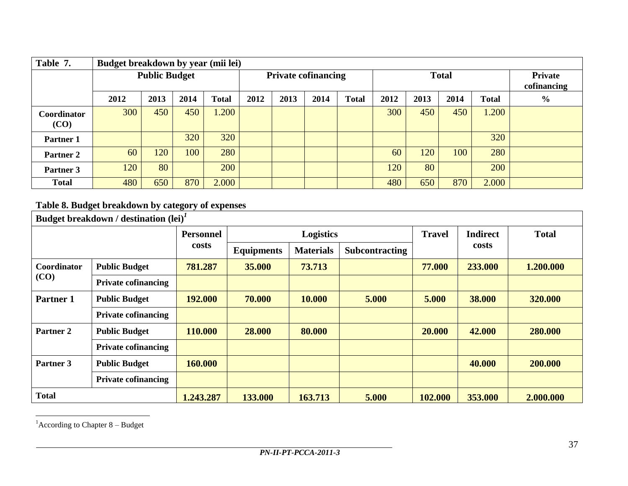| Table 7.             | Budget breakdown by year (mii lei) |                      |      |              |      |                            |      |              |      |              |                               |       |  |
|----------------------|------------------------------------|----------------------|------|--------------|------|----------------------------|------|--------------|------|--------------|-------------------------------|-------|--|
|                      |                                    | <b>Public Budget</b> |      |              |      | <b>Private cofinancing</b> |      |              |      | <b>Total</b> | <b>Private</b><br>cofinancing |       |  |
|                      | 2012                               | 2013                 | 2014 | <b>Total</b> | 2012 | 2013                       | 2014 | <b>Total</b> | 2012 | 2013         | $\frac{0}{0}$                 |       |  |
| Coordinator<br>(CO)  | 300                                | 450                  | 450  | 1.200        |      |                            |      |              | 300  | 450          | 450                           | 1.200 |  |
| <b>Partner 1</b>     |                                    |                      | 320  | 320          |      |                            |      |              |      |              |                               | 320   |  |
| Partner <sub>2</sub> | 60                                 | 120                  | 100  | 280          |      |                            |      |              | 60   | 120          | 100                           | 280   |  |
| Partner 3            | 120                                | 80                   |      | 200          |      |                            |      |              | 120  | 80           |                               | 200   |  |
| <b>Total</b>         | 480                                | 650                  | 870  | 2.000        |      |                            |      |              | 480  | 650          | 870                           | 2.000 |  |

# **Table 8. Budget breakdown by category of expenses**

| Budget breakdown / destination $(\text{lei})^T$ |                            |           |                   |                  |                       |               |                 |              |  |
|-------------------------------------------------|----------------------------|-----------|-------------------|------------------|-----------------------|---------------|-----------------|--------------|--|
|                                                 |                            | Personnel | <b>Logistics</b>  |                  |                       | <b>Travel</b> | <b>Indirect</b> | <b>Total</b> |  |
|                                                 | costs                      |           | <b>Equipments</b> | <b>Materials</b> | <b>Subcontracting</b> |               | costs           |              |  |
| Coordinator<br>(CO)                             | <b>Public Budget</b>       | 781.287   | 35,000            | 73.713           |                       | 77.000        | 233.000         | 1.200.000    |  |
|                                                 | <b>Private cofinancing</b> |           |                   |                  |                       |               |                 |              |  |
| Partner 1                                       | <b>Public Budget</b>       | 192.000   | 70.000            | 10.000           | 5.000                 | 5.000         | 38.000          | 320.000      |  |
|                                                 | <b>Private cofinancing</b> |           |                   |                  |                       |               |                 |              |  |
| Partner 2                                       | <b>Public Budget</b>       | 110.000   | 28.000            | 80.000           |                       | 20.000        | 42.000          | 280.000      |  |
|                                                 | <b>Private cofinancing</b> |           |                   |                  |                       |               |                 |              |  |
| Partner 3                                       | <b>Public Budget</b>       | 160.000   |                   |                  |                       |               | 40.000          | 200.000      |  |
|                                                 | <b>Private cofinancing</b> |           |                   |                  |                       |               |                 |              |  |
| <b>Total</b>                                    |                            | 1.243.287 | 133.000           | 163.713          | 5.000                 | 102.000       | 353.000         | 2.000.000    |  |

 ${}^{1}$ According to Chapter 8 – Budget

 $\overline{a}$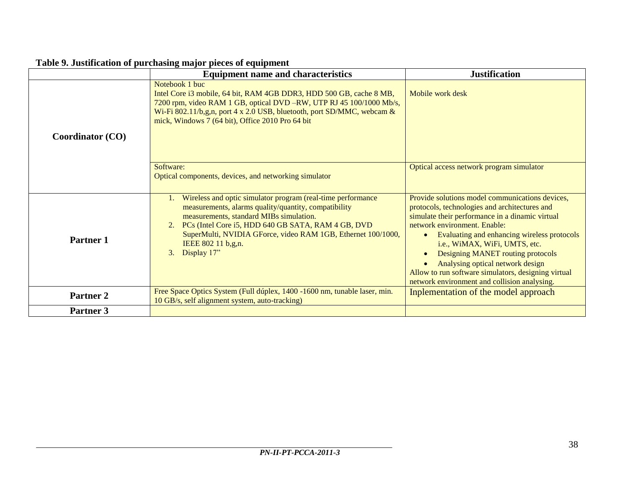|                         | <b>Equipment name and characteristics</b>                                                                                                                                                                                                                                                                                                        | <b>Justification</b>                                                                                                                                                                                                                                                                                                                                                                                                                                             |
|-------------------------|--------------------------------------------------------------------------------------------------------------------------------------------------------------------------------------------------------------------------------------------------------------------------------------------------------------------------------------------------|------------------------------------------------------------------------------------------------------------------------------------------------------------------------------------------------------------------------------------------------------------------------------------------------------------------------------------------------------------------------------------------------------------------------------------------------------------------|
| <b>Coordinator (CO)</b> | Notebook 1 buc<br>Intel Core i3 mobile, 64 bit, RAM 4GB DDR3, HDD 500 GB, cache 8 MB,<br>7200 rpm, video RAM 1 GB, optical DVD -RW, UTP RJ 45 100/1000 Mb/s,<br>Wi-Fi 802.11/b,g,n, port 4 x 2.0 USB, bluetooth, port SD/MMC, webcam $\&$<br>mick, Windows 7 (64 bit), Office 2010 Pro 64 bit                                                    | Mobile work desk                                                                                                                                                                                                                                                                                                                                                                                                                                                 |
|                         | Software:<br>Optical components, devices, and networking simulator                                                                                                                                                                                                                                                                               | Optical access network program simulator                                                                                                                                                                                                                                                                                                                                                                                                                         |
| Partner 1               | Wireless and optic simulator program (real-time performance<br>measurements, alarms quality/quantity, compatibility<br>measurements, standard MIBs simulation.<br>2. PCs (Intel Core i5, HDD 640 GB SATA, RAM 4 GB, DVD<br>SuperMulti, NVIDIA GForce, video RAM 1GB, Ethernet 100/1000,<br>IEEE 802 11 b,g,n.<br>Display 17"<br>$\mathfrak{Z}$ . | Provide solutions model communications devices,<br>protocols, technologies and architectures and<br>simulate their performance in a dinamic virtual<br>network environment. Enable:<br>Evaluating and enhancing wireless protocols<br>$\bullet$<br>i.e., WiMAX, WiFi, UMTS, etc.<br>Designing MANET routing protocols<br>Analysing optical network design<br>Allow to run software simulators, designing virtual<br>network environment and collision analysing. |
| Partner <sub>2</sub>    | Free Space Optics System (Full dúplex, 1400 -1600 nm, tunable laser, min.<br>10 GB/s, self alignment system, auto-tracking)                                                                                                                                                                                                                      | Inplementation of the model approach                                                                                                                                                                                                                                                                                                                                                                                                                             |
| Partner 3               |                                                                                                                                                                                                                                                                                                                                                  |                                                                                                                                                                                                                                                                                                                                                                                                                                                                  |

# **Table 9. Justification of purchasing major pieces of equipment**